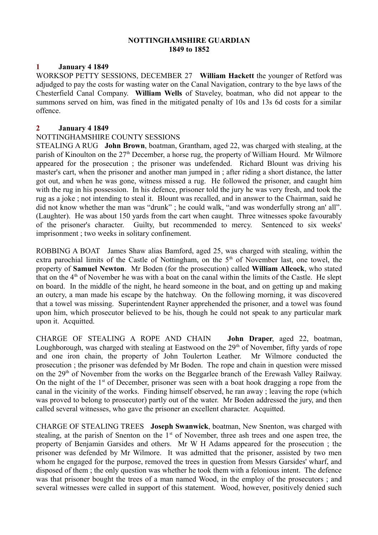#### **NOTTINGHAMSHIRE GUARDIAN 1849 to 1852**

### **1 January 4 1849**

WORKSOP PETTY SESSIONS, DECEMBER 27 **William Hackett** the younger of Retford was adjudged to pay the costs for wasting water on the Canal Navigation, contrary to the bye laws of the Chesterfield Canal Company. **William Wells** of Staveley, boatman, who did not appear to the summons served on him, was fined in the mitigated penalty of 10s and 13s 6d costs for a similar offence.

#### **2 January 4 1849**

### NOTTINGHAMSHIRE COUNTY SESSIONS

STEALING A RUG **John Brown**, boatman, Grantham, aged 22, was charged with stealing, at the parish of Kinoulton on the  $27<sup>th</sup>$  December, a horse rug, the property of William Hourd. Mr Wilmore appeared for the prosecution ; the prisoner was undefended. Richard Blount was driving his master's cart, when the prisoner and another man jumped in ; after riding a short distance, the latter got out, and when he was gone, witness missed a rug. He followed the prisoner, and caught him with the rug in his possession. In his defence, prisoner told the jury he was very fresh, and took the rug as a joke ; not intending to steal it. Blount was recalled, and in answer to the Chairman, said he did not know whether the man was "drunk" ; he could walk, "and was wonderfully strong an' all". (Laughter). He was about 150 yards from the cart when caught. Three witnesses spoke favourably of the prisoner's character. Guilty, but recommended to mercy. Sentenced to six weeks' imprisonment ; two weeks in solitary confinement.

ROBBING A BOAT James Shaw alias Bamford, aged 25, was charged with stealing, within the extra parochial limits of the Castle of Nottingham, on the 5<sup>th</sup> of November last, one towel, the property of **Samuel Newton**. Mr Boden (for the prosecution) called **William Allcock**, who stated that on the 4<sup>th</sup> of November he was with a boat on the canal within the limits of the Castle. He slept on board. In the middle of the night, he heard someone in the boat, and on getting up and making an outcry, a man made his escape by the hatchway. On the following morning, it was discovered that a towel was missing. Superintendent Rayner apprehended the prisoner, and a towel was found upon him, which prosecutor believed to be his, though he could not speak to any particular mark upon it. Acquitted.

CHARGE OF STEALING A ROPE AND CHAIN **John Draper**, aged 22, boatman, Loughborough, was charged with stealing at Eastwood on the  $29<sup>th</sup>$  of November, fifty yards of rope and one iron chain, the property of John Toulerton Leather. Mr Wilmore conducted the prosecution ; the prisoner was defended by Mr Boden. The rope and chain in question were missed on the 29<sup>th</sup> of November from the works on the Beggarlee branch of the Erewash Valley Railway. On the night of the  $1<sup>st</sup>$  of December, prisoner was seen with a boat hook dragging a rope from the canal in the vicinity of the works. Finding himself observed, he ran away ; leaving the rope (which was proved to belong to prosecutor) partly out of the water. Mr Boden addressed the jury, and then called several witnesses, who gave the prisoner an excellent character. Acquitted.

CHARGE OF STEALING TREES **Joseph Swanwick**, boatman, New Snenton, was charged with stealing, at the parish of Snenton on the  $1<sup>st</sup>$  of November, three ash trees and one aspen tree, the property of Benjamin Garsides and others. Mr W H Adams appeared for the prosecution ; the prisoner was defended by Mr Wilmore. It was admitted that the prisoner, assisted by two men whom he engaged for the purpose, removed the trees in question from Messrs Garsides' wharf, and disposed of them ; the only question was whether he took them with a felonious intent. The defence was that prisoner bought the trees of a man named Wood, in the employ of the prosecutors ; and several witnesses were called in support of this statement. Wood, however, positively denied such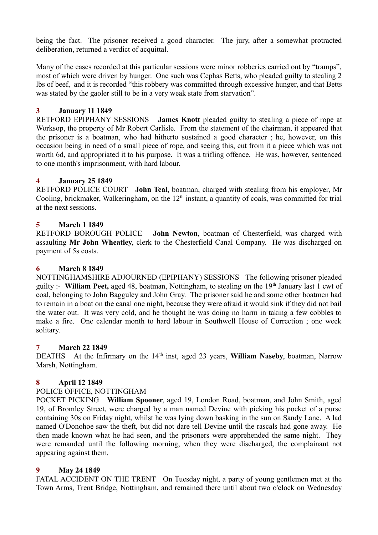being the fact. The prisoner received a good character. The jury, after a somewhat protracted deliberation, returned a verdict of acquittal.

Many of the cases recorded at this particular sessions were minor robberies carried out by "tramps", most of which were driven by hunger. One such was Cephas Betts, who pleaded guilty to stealing 2 lbs of beef, and it is recorded "this robbery was committed through excessive hunger, and that Betts was stated by the gaoler still to be in a very weak state from starvation".

# **3 January 11 1849**

RETFORD EPIPHANY SESSIONS **James Knott** pleaded guilty to stealing a piece of rope at Worksop, the property of Mr Robert Carlisle. From the statement of the chairman, it appeared that the prisoner is a boatman, who had hitherto sustained a good character ; he, however, on this occasion being in need of a small piece of rope, and seeing this, cut from it a piece which was not worth 6d, and appropriated it to his purpose. It was a trifling offence. He was, however, sentenced to one month's imprisonment, with hard labour.

## **4 January 25 1849**

RETFORD POLICE COURT **John Teal,** boatman, charged with stealing from his employer, Mr Cooling, brickmaker, Walkeringham, on the  $12<sup>th</sup>$  instant, a quantity of coals, was committed for trial at the next sessions.

## **5 March 1 1849**

RETFORD BOROUGH POLICE **John Newton**, boatman of Chesterfield, was charged with assaulting **Mr John Wheatley**, clerk to the Chesterfield Canal Company. He was discharged on payment of 5s costs.

### **6 March 8 1849**

NOTTINGHAMSHIRE ADJOURNED (EPIPHANY) SESSIONS The following prisoner pleaded guilty :- **William Peet,** aged 48, boatman, Nottingham, to stealing on the 19th January last 1 cwt of coal, belonging to John Bagguley and John Gray. The prisoner said he and some other boatmen had to remain in a boat on the canal one night, because they were afraid it would sink if they did not bail the water out. It was very cold, and he thought he was doing no harm in taking a few cobbles to make a fire. One calendar month to hard labour in Southwell House of Correction ; one week solitary.

## **7 March 22 1849**

DEATHS At the Infirmary on the 14<sup>th</sup> inst, aged 23 years, **William Naseby**, boatman, Narrow Marsh, Nottingham.

## **8 April 12 1849**

### POLICE OFFICE, NOTTINGHAM

POCKET PICKING **William Spooner**, aged 19, London Road, boatman, and John Smith, aged 19, of Bromley Street, were charged by a man named Devine with picking his pocket of a purse containing 30s on Friday night, whilst he was lying down basking in the sun on Sandy Lane. A lad named O'Donohoe saw the theft, but did not dare tell Devine until the rascals had gone away. He then made known what he had seen, and the prisoners were apprehended the same night. They were remanded until the following morning, when they were discharged, the complainant not appearing against them.

### **9 May 24 1849**

FATAL ACCIDENT ON THE TRENT On Tuesday night, a party of young gentlemen met at the Town Arms, Trent Bridge, Nottingham, and remained there until about two o'clock on Wednesday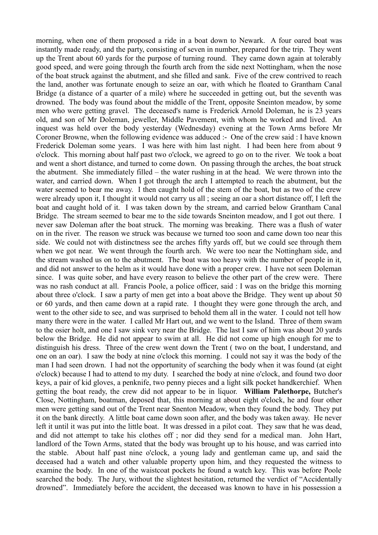morning, when one of them proposed a ride in a boat down to Newark. A four oared boat was instantly made ready, and the party, consisting of seven in number, prepared for the trip. They went up the Trent about 60 yards for the purpose of turning round. They came down again at tolerably good speed, and were going through the fourth arch from the side next Nottingham, when the nose of the boat struck against the abutment, and she filled and sank. Five of the crew contrived to reach the land, another was fortunate enough to seize an oar, with which he floated to Grantham Canal Bridge (a distance of a quarter of a mile) where he succeeded in getting out, but the seventh was drowned. The body was found about the middle of the Trent, opposite Sneinton meadow, by some men who were getting gravel. The deceased's name is Frederick Arnold Doleman, he is 23 years old, and son of Mr Doleman, jeweller, Middle Pavement, with whom he worked and lived. An inquest was held over the body yesterday (Wednesday) evening at the Town Arms before Mr Coroner Browne, when the following evidence was adduced :- One of the crew said : I have known Frederick Doleman some years. I was here with him last night. I had been here from about 9 o'clock. This morning about half past two o'clock, we agreed to go on to the river. We took a boat and went a short distance, and turned to come down. On passing through the arches, the boat struck the abutment. She immediately filled – the water rushing in at the head. We were thrown into the water, and carried down. When I got through the arch I attempted to reach the abutment, but the water seemed to bear me away. I then caught hold of the stem of the boat, but as two of the crew were already upon it, I thought it would not carry us all ; seeing an oar a short distance off, I left the boat and caught hold of it. I was taken down by the stream, and carried below Grantham Canal Bridge. The stream seemed to bear me to the side towards Sneinton meadow, and I got out there. I never saw Doleman after the boat struck. The morning was breaking. There was a flush of water on in the river. The reason we struck was because we turned too soon and came down too near this side. We could not with distinctness see the arches fifty yards off, but we could see through them when we got near. We went through the fourth arch. We were too near the Nottingham side, and the stream washed us on to the abutment. The boat was too heavy with the number of people in it, and did not answer to the helm as it would have done with a proper crew. I have not seen Doleman since. I was quite sober, and have every reason to believe the other part of the crew were. There was no rash conduct at all. Francis Poole, a police officer, said : I was on the bridge this morning about three o'clock. I saw a party of men get into a boat above the Bridge. They went up about 50 or 60 yards, and then came down at a rapid rate. I thought they were gone through the arch, and went to the other side to see, and was surprised to behold them all in the water. I could not tell how many there were in the water. I called Mr Hart out, and we went to the Island. Three of them swam to the osier holt, and one I saw sink very near the Bridge. The last I saw of him was about 20 yards below the Bridge. He did not appear to swim at all. He did not come up high enough for me to distinguish his dress. Three of the crew went down the Trent ( two on the boat, I understand, and one on an oar). I saw the body at nine o'clock this morning. I could not say it was the body of the man I had seen drown. I had not the opportunity of searching the body when it was found (at eight o'clock) because I had to attend to my duty. I searched the body at nine o'clock, and found two door keys, a pair of kid gloves, a penknife, two penny pieces and a light silk pocket handkerchief. When getting the boat ready, the crew did not appear to be in liquor. **William Palethorpe,** Butcher's Close, Nottingham, boatman, deposed that, this morning at about eight o'clock, he and four other men were getting sand out of the Trent near Snenton Meadow, when they found the body. They put it on the bank directly. A little boat came down soon after, and the body was taken away. He never left it until it was put into the little boat. It was dressed in a pilot coat. They saw that he was dead, and did not attempt to take his clothes off ; nor did they send for a medical man. John Hart, landlord of the Town Arms, stated that the body was brought up to his house, and was carried into the stable. About half past nine o'clock, a young lady and gentleman came up, and said the deceased had a watch and other valuable property upon him, and they requested the witness to examine the body. In one of the waistcoat pockets he found a watch key. This was before Poole searched the body. The Jury, without the slightest hesitation, returned the verdict of "Accidentally drowned". Immediately before the accident, the deceased was known to have in his possession a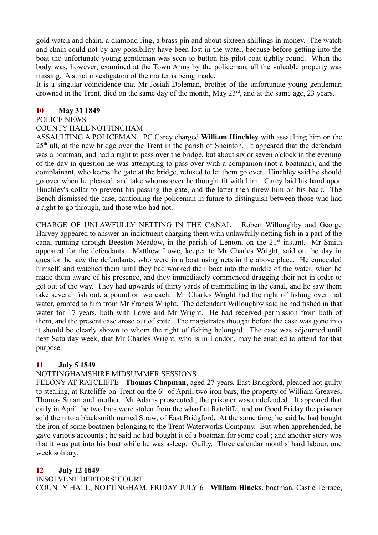gold watch and chain, a diamond ring, a brass pin and about sixteen shillings in money. The watch and chain could not by any possibility have been lost in the water, because before getting into the boat the unfortunate young gentleman was seen to button his pilot coat tightly round. When the body was, however, examined at the Town Arms by the policeman, all the valuable property was missing. A strict investigation of the matter is being made.

It is a singular coincidence that Mr Josiah Doleman, brother of the unfortunate young gentleman drowned in the Trent, died on the same day of the month, May 23<sup>rd</sup>, and at the same age, 23 years.

#### **10 May 31 1849**

#### POLICE NEWS

#### COUNTY HALL NOTTINGHAM

ASSAULTING A POLICEMAN PC Carey charged **William Hinchley** with assaulting him on the  $25<sup>th</sup>$  ult, at the new bridge over the Trent in the parish of Sneinton. It appeared that the defendant was a boatman, and had a right to pass over the bridge, but about six or seven o'clock in the evening of the day in question he was attempting to pass over with a companion (not a boatman), and the complainant, who keeps the gate at the bridge, refused to let them go over. Hinchley said he should go over when he pleased, and take whomsoever he thought fit with him. Carey laid his hand upon Hinchley's collar to prevent his passing the gate, and the latter then threw him on his back. The Bench dismissed the case, cautioning the policeman in future to distinguish between those who had a right to go through, and those who had not.

CHARGE OF UNLAWFULLY NETTING IN THE CANAL Robert Willoughby and George Harvey appeared to answer an indictment charging them with unlawfully netting fish in a part of the canal running through Beeston Meadow, in the parish of Lenton, on the 21<sup>st</sup> instant. Mr Smith appeared for the defendants. Matthew Lowe, keeper to Mr Charles Wright, said on the day in question he saw the defendants, who were in a boat using nets in the above place. He concealed himself, and watched them until they had worked their boat into the middle of the water, when he made them aware of his presence, and they immediately commenced dragging their net in order to get out of the way. They had upwards of thirty yards of trammelling in the canal, and he saw them take several fish out, a pound or two each. Mr Charles Wright had the right of fishing over that water, granted to him from Mr Francis Wright. The defendant Willoughby said he had fished in that water for 17 years, both with Lowe and Mr Wright. He had received permission from both of them, and the present case arose out of spite. The magistrates thought before the case was gone into it should be clearly shown to whom the right of fishing belonged. The case was adjourned until next Saturday week, that Mr Charles Wright, who is in London, may be enabled to attend for that purpose.

### **11 July 5 1849**

### NOTTINGHAMSHIRE MIDSUMMER SESSIONS

FELONY AT RATCLIFFE **Thomas Chapman**, aged 27 years, East Bridgford, pleaded not guilty to stealing, at Ratcliffe-on-Trent on the  $6<sup>th</sup>$  of April, two iron bars, the property of William Greaves, Thomas Smart and another. Mr Adams prosecuted ; the prisoner was undefended. It appeared that early in April the two bars were stolen from the wharf at Ratcliffe, and on Good Friday the prisoner sold them to a blacksmith named Straw, of East Bridgford. At the same time, he said he had bought the iron of some boatmen belonging to the Trent Waterworks Company. But when apprehended, he gave various accounts ; he said he had bought it of a boatman for some coal ; and another story was that it was put into his boat while he was asleep. Guilty. Three calendar months' hard labour, one week solitary.

### **12 July 12 1849**

INSOLVENT DEBTORS' COURT COUNTY HALL, NOTTINGHAM, FRIDAY JULY 6 **William Hincks**, boatman, Castle Terrace,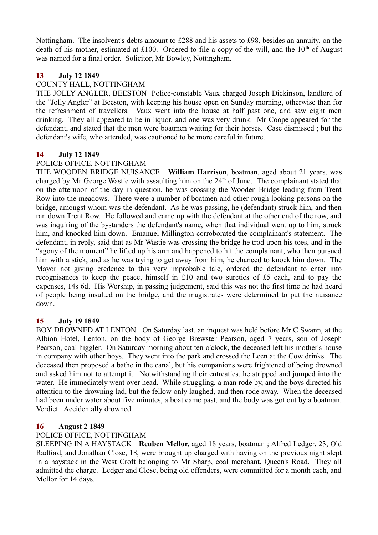Nottingham. The insolvent's debts amount to £288 and his assets to £98, besides an annuity, on the death of his mother, estimated at £100. Ordered to file a copy of the will, and the  $10<sup>th</sup>$  of August was named for a final order. Solicitor, Mr Bowley, Nottingham.

### **13 July 12 1849**

### COUNTY HALL, NOTTINGHAM

THE JOLLY ANGLER, BEESTON Police-constable Vaux charged Joseph Dickinson, landlord of the "Jolly Angler" at Beeston, with keeping his house open on Sunday morning, otherwise than for the refreshment of travellers. Vaux went into the house at half past one, and saw eight men drinking. They all appeared to be in liquor, and one was very drunk. Mr Coope appeared for the defendant, and stated that the men were boatmen waiting for their horses. Case dismissed ; but the defendant's wife, who attended, was cautioned to be more careful in future.

### **14 July 12 1849**

### POLICE OFFICE, NOTTINGHAM

THE WOODEN BRIDGE NUISANCE **William Harrison**, boatman, aged about 21 years, was charged by Mr George Wastie with assaulting him on the  $24<sup>th</sup>$  of June. The complainant stated that on the afternoon of the day in question, he was crossing the Wooden Bridge leading from Trent Row into the meadows. There were a number of boatmen and other rough looking persons on the bridge, amongst whom was the defendant. As he was passing, he (defendant) struck him, and then ran down Trent Row. He followed and came up with the defendant at the other end of the row, and was inquiring of the bystanders the defendant's name, when that individual went up to him, struck him, and knocked him down. Emanuel Millington corroborated the complainant's statement. The defendant, in reply, said that as Mr Wastie was crossing the bridge he trod upon his toes, and in the "agony of the moment" he lifted up his arm and happened to hit the complainant, who then pursued him with a stick, and as he was trying to get away from him, he chanced to knock him down. The Mayor not giving credence to this very improbable tale, ordered the defendant to enter into recognisances to keep the peace, himself in £10 and two sureties of £5 each, and to pay the expenses, 14s 6d. His Worship, in passing judgement, said this was not the first time he had heard of people being insulted on the bridge, and the magistrates were determined to put the nuisance down.

### **15 July 19 1849**

BOY DROWNED AT LENTON On Saturday last, an inquest was held before Mr C Swann, at the Albion Hotel, Lenton, on the body of George Brewster Pearson, aged 7 years, son of Joseph Pearson, coal higgler. On Saturday morning about ten o'clock, the deceased left his mother's house in company with other boys. They went into the park and crossed the Leen at the Cow drinks. The deceased then proposed a bathe in the canal, but his companions were frightened of being drowned and asked him not to attempt it. Notwithstanding their entreaties, he stripped and jumped into the water. He immediately went over head. While struggling, a man rode by, and the boys directed his attention to the drowning lad, but the fellow only laughed, and then rode away. When the deceased had been under water about five minutes, a boat came past, and the body was got out by a boatman. Verdict : Accidentally drowned.

### **16 August 2 1849**

### POLICE OFFICE, NOTTINGHAM

SLEEPING IN A HAYSTACK **Reuben Mellor,** aged 18 years, boatman ; Alfred Ledger, 23, Old Radford, and Jonathan Close, 18, were brought up charged with having on the previous night slept in a haystack in the West Croft belonging to Mr Sharp, coal merchant, Queen's Road. They all admitted the charge. Ledger and Close, being old offenders, were committed for a month each, and Mellor for 14 days.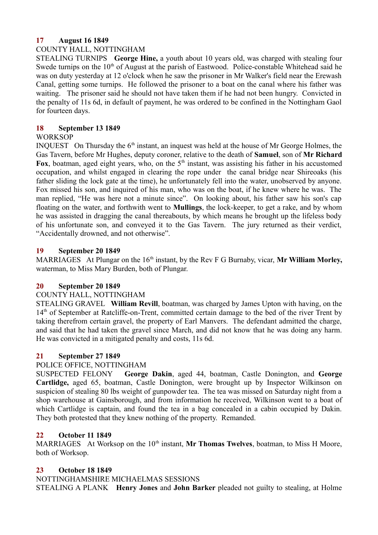### **17 August 16 1849**

### COUNTY HALL, NOTTINGHAM

STEALING TURNIPS **George Hine,** a youth about 10 years old, was charged with stealing four Swede turnips on the  $10<sup>th</sup>$  of August at the parish of Eastwood. Police-constable Whitehead said he was on duty yesterday at 12 o'clock when he saw the prisoner in Mr Walker's field near the Erewash Canal, getting some turnips. He followed the prisoner to a boat on the canal where his father was waiting. The prisoner said he should not have taken them if he had not been hungry. Convicted in the penalty of 11s 6d, in default of payment, he was ordered to be confined in the Nottingham Gaol for fourteen days.

### **18 September 13 1849**

### **WORKSOP**

INQUEST On Thursday the  $6<sup>th</sup>$  instant, an inquest was held at the house of Mr George Holmes, the Gas Tavern, before Mr Hughes, deputy coroner, relative to the death of **Samuel**, son of **Mr Richard** Fox, boatman, aged eight years, who, on the  $5<sup>th</sup>$  instant, was assisting his father in his accustomed occupation, and whilst engaged in clearing the rope under the canal bridge near Shireoaks (his father sliding the lock gate at the time), he unfortunately fell into the water, unobserved by anyone. Fox missed his son, and inquired of his man, who was on the boat, if he knew where he was. The man replied, "He was here not a minute since". On looking about, his father saw his son's cap floating on the water, and forthwith went to **Mullings**, the lock-keeper, to get a rake, and by whom he was assisted in dragging the canal thereabouts, by which means he brought up the lifeless body of his unfortunate son, and conveyed it to the Gas Tavern. The jury returned as their verdict, "Accidentally drowned, and not otherwise".

## **19 September 20 1849**

MARRIAGES At Plungar on the 16<sup>th</sup> instant, by the Rev F G Burnaby, vicar, Mr William Morley, waterman, to Miss Mary Burden, both of Plungar.

## **20 September 20 1849**

### COUNTY HALL, NOTTINGHAM

STEALING GRAVEL **William Revill**, boatman, was charged by James Upton with having, on the 14<sup>th</sup> of September at Ratcliffe-on-Trent, committed certain damage to the bed of the river Trent by taking therefrom certain gravel, the property of Earl Manvers. The defendant admitted the charge, and said that he had taken the gravel since March, and did not know that he was doing any harm. He was convicted in a mitigated penalty and costs, 11s 6d.

## **21 September 27 1849**

## POLICE OFFICE, NOTTINGHAM

SUSPECTED FELONY **George Dakin**, aged 44, boatman, Castle Donington, and **George Cartlidge,** aged 65, boatman, Castle Donington, were brought up by Inspector Wilkinson on suspicion of stealing 80 lbs weight of gunpowder tea. The tea was missed on Saturday night from a shop warehouse at Gainsborough, and from information he received, Wilkinson went to a boat of which Cartlidge is captain, and found the tea in a bag concealed in a cabin occupied by Dakin. They both protested that they knew nothing of the property. Remanded.

## **22 October 11 1849**

MARRIAGES At Worksop on the 10<sup>th</sup> instant, Mr Thomas Twelves, boatman, to Miss H Moore, both of Worksop.

## **23 October 18 1849**

NOTTINGHAMSHIRE MICHAELMAS SESSIONS

STEALING A PLANK **Henry Jones** and **John Barker** pleaded not guilty to stealing, at Holme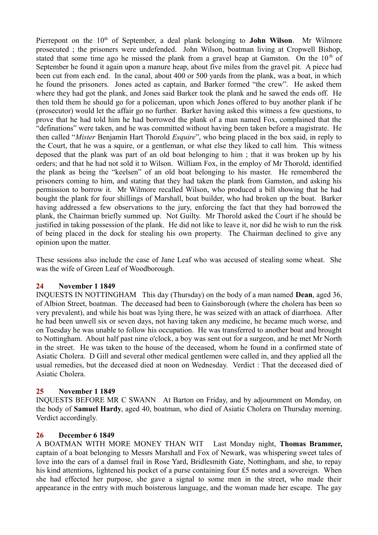Pierrepont on the 10<sup>th</sup> of September, a deal plank belonging to **John Wilson**. Mr Wilmore prosecuted ; the prisoners were undefended. John Wilson, boatman living at Cropwell Bishop, stated that some time ago he missed the plank from a gravel heap at Gamston. On the  $10<sup>th</sup>$  of September he found it again upon a manure heap, about five miles from the gravel pit. A piece had been cut from each end. In the canal, about 400 or 500 yards from the plank, was a boat, in which he found the prisoners. Jones acted as captain, and Barker formed "the crew". He asked them where they had got the plank, and Jones said Barker took the plank and he sawed the ends off. He then told them he should go for a policeman, upon which Jones offered to buy another plank if he (prosecutor) would let the affair go no further. Barker having asked this witness a few questions, to prove that he had told him he had borrowed the plank of a man named Fox, complained that the "definations" were taken, and he was committed without having been taken before a magistrate. He then called "*Mister* Benjamin Hart Thorold *Esquire*", who being placed in the box said, in reply to the Court, that he was a squire, or a gentleman, or what else they liked to call him. This witness deposed that the plank was part of an old boat belonging to him ; that it was broken up by his orders; and that he had not sold it to Wilson. William Fox, in the employ of Mr Thorold, identified the plank as being the "keelsen" of an old boat belonging to his master. He remembered the prisoners coming to him, and stating that they had taken the plank from Gamston, and asking his permission to borrow it. Mr Wilmore recalled Wilson, who produced a bill showing that he had bought the plank for four shillings of Marshall, boat builder, who had broken up the boat. Barker having addressed a few observations to the jury, enforcing the fact that they had borrowed the plank, the Chairman briefly summed up. Not Guilty. Mr Thorold asked the Court if he should be justified in taking possession of the plank. He did not like to leave it, nor did he wish to run the risk of being placed in the dock for stealing his own property. The Chairman declined to give any opinion upon the matter.

These sessions also include the case of Jane Leaf who was accused of stealing some wheat. She was the wife of Green Leaf of Woodborough.

### **24 November 1 1849**

INQUESTS IN NOTTINGHAM This day (Thursday) on the body of a man named **Dean**, aged 36, of Albion Street, boatman. The deceased had been to Gainsborough (where the cholera has been so very prevalent), and while his boat was lying there, he was seized with an attack of diarrhoea. After he had been unwell six or seven days, not having taken any medicine, he became much worse, and on Tuesday he was unable to follow his occupation. He was transferred to another boat and brought to Nottingham. About half past nine o'clock, a boy was sent out for a surgeon, and he met Mr North in the street. He was taken to the house of the deceased, whom he found in a confirmed state of Asiatic Cholera. D Gill and several other medical gentlemen were called in, and they applied all the usual remedies, but the deceased died at noon on Wednesday. Verdict : That the deceased died of Asiatic Cholera.

### **25 November 1 1849**

INQUESTS BEFORE MR C SWANN At Barton on Friday, and by adjournment on Monday, on the body of **Samuel Hardy**, aged 40, boatman, who died of Asiatic Cholera on Thursday morning. Verdict accordingly.

### **26 December 6 1849**

A BOATMAN WITH MORE MONEY THAN WIT Last Monday night, **Thomas Brammer,** captain of a boat belonging to Messrs Marshall and Fox of Newark, was whispering sweet tales of love into the ears of a damsel frail in Rose Yard, Bridlesmith Gate, Nottingham, and she, to repay his kind attentions, lightened his pocket of a purse containing four £5 notes and a sovereign. When she had effected her purpose, she gave a signal to some men in the street, who made their appearance in the entry with much boisterous language, and the woman made her escape. The gay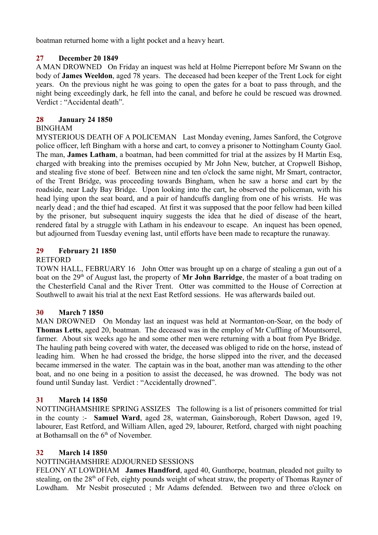boatman returned home with a light pocket and a heavy heart.

# **27 December 20 1849**

A MAN DROWNED On Friday an inquest was held at Holme Pierrepont before Mr Swann on the body of **James Weeldon**, aged 78 years. The deceased had been keeper of the Trent Lock for eight years. On the previous night he was going to open the gates for a boat to pass through, and the night being exceedingly dark, he fell into the canal, and before he could be rescued was drowned. Verdict : "Accidental death".

# **28 January 24 1850**

# BINGHAM

MYSTERIOUS DEATH OF A POLICEMAN Last Monday evening, James Sanford, the Cotgrove police officer, left Bingham with a horse and cart, to convey a prisoner to Nottingham County Gaol. The man, **James Latham**, a boatman, had been committed for trial at the assizes by H Martin Esq, charged with breaking into the premises occupied by Mr John New, butcher, at Cropwell Bishop, and stealing five stone of beef. Between nine and ten o'clock the same night, Mr Smart, contractor, of the Trent Bridge, was proceeding towards Bingham, when he saw a horse and cart by the roadside, near Lady Bay Bridge. Upon looking into the cart, he observed the policeman, with his head lying upon the seat board, and a pair of handcuffs dangling from one of his wrists. He was nearly dead ; and the thief had escaped. At first it was supposed that the poor fellow had been killed by the prisoner, but subsequent inquiry suggests the idea that he died of disease of the heart, rendered fatal by a struggle with Latham in his endeavour to escape. An inquest has been opened, but adjourned from Tuesday evening last, until efforts have been made to recapture the runaway.

# **29 February 21 1850**

## RETFORD

TOWN HALL, FEBRUARY 16 John Otter was brought up on a charge of stealing a gun out of a boat on the 29<sup>th</sup> of August last, the property of Mr John Barridge, the master of a boat trading on the Chesterfield Canal and the River Trent. Otter was committed to the House of Correction at Southwell to await his trial at the next East Retford sessions. He was afterwards bailed out.

## **30 March 7 1850**

MAN DROWNED On Monday last an inquest was held at Normanton-on-Soar, on the body of **Thomas Letts**, aged 20, boatman. The deceased was in the employ of Mr Cuffling of Mountsorrel, farmer. About six weeks ago he and some other men were returning with a boat from Pye Bridge. The hauling path being covered with water, the deceased was obliged to ride on the horse, instead of leading him. When he had crossed the bridge, the horse slipped into the river, and the deceased became immersed in the water. The captain was in the boat, another man was attending to the other boat, and no one being in a position to assist the deceased, he was drowned. The body was not found until Sunday last. Verdict : "Accidentally drowned".

## **31 March 14 1850**

NOTTINGHAMSHIRE SPRING ASSIZES The following is a list of prisoners committed for trial in the county :- **Samuel Ward**, aged 28, waterman, Gainsborough, Robert Dawson, aged 19, labourer, East Retford, and William Allen, aged 29, labourer, Retford, charged with night poaching at Bothamsall on the  $6<sup>th</sup>$  of November.

## **32 March 14 1850**

# NOTTINGHAMSHIRE ADJOURNED SESSIONS

FELONY AT LOWDHAM **James Handford**, aged 40, Gunthorpe, boatman, pleaded not guilty to stealing, on the  $28<sup>th</sup>$  of Feb, eighty pounds weight of wheat straw, the property of Thomas Rayner of Lowdham. Mr Nesbit prosecuted ; Mr Adams defended. Between two and three o'clock on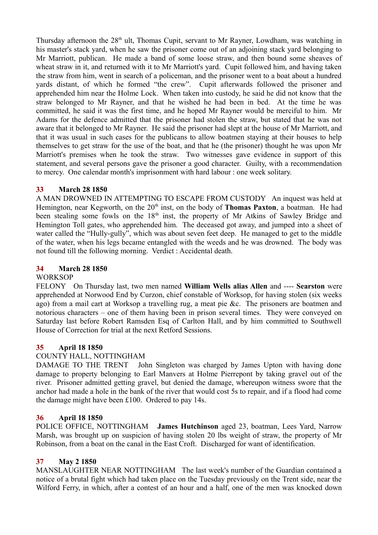Thursday afternoon the 28<sup>th</sup> ult, Thomas Cupit, servant to Mr Rayner, Lowdham, was watching in his master's stack yard, when he saw the prisoner come out of an adjoining stack yard belonging to Mr Marriott, publican. He made a band of some loose straw, and then bound some sheaves of wheat straw in it, and returned with it to Mr Marriott's yard. Cupit followed him, and having taken the straw from him, went in search of a policeman, and the prisoner went to a boat about a hundred yards distant, of which he formed "the crew". Cupit afterwards followed the prisoner and apprehended him near the Holme Lock. When taken into custody, he said he did not know that the straw belonged to Mr Rayner, and that he wished he had been in bed. At the time he was committed, he said it was the first time, and he hoped Mr Rayner would be merciful to him. Mr Adams for the defence admitted that the prisoner had stolen the straw, but stated that he was not aware that it belonged to Mr Rayner. He said the prisoner had slept at the house of Mr Marriott, and that it was usual in such cases for the publicans to allow boatmen staying at their houses to help themselves to get straw for the use of the boat, and that he (the prisoner) thought he was upon Mr Marriott's premises when he took the straw. Two witnesses gave evidence in support of this statement, and several persons gave the prisoner a good character. Guilty, with a recommendation to mercy. One calendar month's imprisonment with hard labour : one week solitary.

# **33 March 28 1850**

A MAN DROWNED IN ATTEMPTING TO ESCAPE FROM CUSTODY An inquest was held at Hemington, near Kegworth, on the 20<sup>th</sup> inst, on the body of **Thomas Paxton**, a boatman. He had been stealing some fowls on the  $18<sup>th</sup>$  inst, the property of Mr Atkins of Sawley Bridge and Hemington Toll gates, who apprehended him. The deceased got away, and jumped into a sheet of water called the "Hully-gully", which was about seven feet deep. He managed to get to the middle of the water, when his legs became entangled with the weeds and he was drowned. The body was not found till the following morning. Verdict : Accidental death.

# **34 March 28 1850**

## **WORKSOP**

FELONY On Thursday last, two men named **William Wells alias Allen** and ---- **Searston** were apprehended at Norwood End by Curzon, chief constable of Worksop, for having stolen (six weeks ago) from a mail cart at Worksop a travelling rug, a meat pie &c. The prisoners are boatmen and notorious characters – one of them having been in prison several times. They were conveyed on Saturday last before Robert Ramsden Esq of Carlton Hall, and by him committed to Southwell House of Correction for trial at the next Retford Sessions.

## **35 April 18 1850**

## COUNTY HALL, NOTTINGHAM

DAMAGE TO THE TRENT John Singleton was charged by James Upton with having done damage to property belonging to Earl Manvers at Holme Pierrepont by taking gravel out of the river. Prisoner admitted getting gravel, but denied the damage, whereupon witness swore that the anchor had made a hole in the bank of the river that would cost 5s to repair, and if a flood had come the damage might have been £100. Ordered to pay 14s.

## **36 April 18 1850**

POLICE OFFICE, NOTTINGHAM **James Hutchinson** aged 23, boatman, Lees Yard, Narrow Marsh, was brought up on suspicion of having stolen 20 lbs weight of straw, the property of Mr Robinson, from a boat on the canal in the East Croft. Discharged for want of identification.

## **37 May 2 1850**

MANSLAUGHTER NEAR NOTTINGHAM The last week's number of the Guardian contained a notice of a brutal fight which had taken place on the Tuesday previously on the Trent side, near the Wilford Ferry, in which, after a contest of an hour and a half, one of the men was knocked down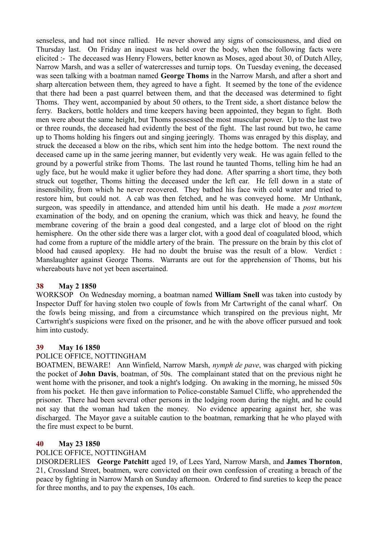senseless, and had not since rallied. He never showed any signs of consciousness, and died on Thursday last. On Friday an inquest was held over the body, when the following facts were elicited :- The deceased was Henry Flowers, better known as Moses, aged about 30, of Dutch Alley, Narrow Marsh, and was a seller of watercresses and turnip tops. On Tuesday evening, the deceased was seen talking with a boatman named **George Thoms** in the Narrow Marsh, and after a short and sharp altercation between them, they agreed to have a fight. It seemed by the tone of the evidence that there had been a past quarrel between them, and that the deceased was determined to fight Thoms. They went, accompanied by about 50 others, to the Trent side, a short distance below the ferry. Backers, bottle holders and time keepers having been appointed, they began to fight. Both men were about the same height, but Thoms possessed the most muscular power. Up to the last two or three rounds, the deceased had evidently the best of the fight. The last round but two, he came up to Thoms holding his fingers out and singing jeeringly. Thoms was enraged by this display, and struck the deceased a blow on the ribs, which sent him into the hedge bottom. The next round the deceased came up in the same jeering manner, but evidently very weak. He was again felled to the ground by a powerful strike from Thoms. The last round he taunted Thoms, telling him he had an ugly face, but he would make it uglier before they had done. After sparring a short time, they both struck out together, Thoms hitting the deceased under the left ear. He fell down in a state of insensibility, from which he never recovered. They bathed his face with cold water and tried to restore him, but could not. A cab was then fetched, and he was conveyed home. Mr Unthank, surgeon, was speedily in attendance, and attended him until his death. He made a *post mortem* examination of the body, and on opening the cranium, which was thick and heavy, he found the membrane covering of the brain a good deal congested, and a large clot of blood on the right hemisphere. On the other side there was a larger clot, with a good deal of coagulated blood, which had come from a rupture of the middle artery of the brain. The pressure on the brain by this clot of blood had caused apoplexy. He had no doubt the bruise was the result of a blow. Verdict : Manslaughter against George Thoms. Warrants are out for the apprehension of Thoms, but his whereabouts have not yet been ascertained.

## **38 May 2 1850**

WORKSOP On Wednesday morning, a boatman named **William Snell** was taken into custody by Inspector Duff for having stolen two couple of fowls from Mr Cartwright of the canal wharf. On the fowls being missing, and from a circumstance which transpired on the previous night, Mr Cartwright's suspicions were fixed on the prisoner, and he with the above officer pursued and took him into custody.

### **39 May 16 1850**

### POLICE OFFICE, NOTTINGHAM

BOATMEN, BEWARE! Ann Winfield, Narrow Marsh, *nymph de pave*, was charged with picking the pocket of **John Davis**, boatman, of 50s. The complainant stated that on the previous night he went home with the prisoner, and took a night's lodging. On awaking in the morning, he missed 50s from his pocket. He then gave information to Police-constable Samuel Cliffe, who apprehended the prisoner. There had been several other persons in the lodging room during the night, and he could not say that the woman had taken the money. No evidence appearing against her, she was discharged. The Mayor gave a suitable caution to the boatman, remarking that he who played with the fire must expect to be burnt.

### **40 May 23 1850**

### POLICE OFFICE, NOTTINGHAM

DISORDERLIES **George Patchitt** aged 19, of Lees Yard, Narrow Marsh, and **James Thornton**, 21, Crossland Street, boatmen, were convicted on their own confession of creating a breach of the peace by fighting in Narrow Marsh on Sunday afternoon. Ordered to find sureties to keep the peace for three months, and to pay the expenses, 10s each.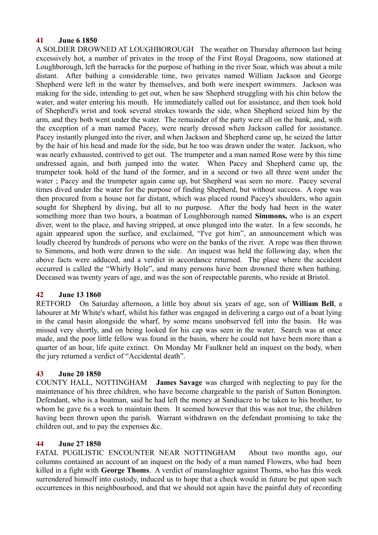### **41 June 6 1850**

A SOLDIER DROWNED AT LOUGHBOROUGH The weather on Thursday afternoon last being excessively hot, a number of privates in the troop of the First Royal Dragoons, now stationed at Loughborough, left the barracks for the purpose of bathing in the river Soar, which was about a mile distant. After bathing a considerable time, two privates named William Jackson and George Shepherd were left in the water by themselves, and both were inexpert swimmers. Jackson was making for the side, intending to get out, when he saw Shepherd struggling with his chin below the water, and water entering his mouth. He immediately called out for assistance, and then took hold of Shepherd's wrist and took several strokes towards the side, when Shepherd seized him by the arm, and they both went under the water. The remainder of the party were all on the bank, and, with the exception of a man named Pacey, were nearly dressed when Jackson called for assistance. Pacey instantly plunged into the river, and when Jackson and Shepherd came up, he seized the latter by the hair of his head and made for the side, but he too was drawn under the water. Jackson, who was nearly exhausted, contrived to get out. The trumpeter and a man named Rose were by this time undressed again, and both jumped into the water. When Pacey and Shepherd came up, the trumpeter took hold of the hand of the former, and in a second or two all three went under the water ; Pacey and the trumpeter again came up, but Shepherd was seen no more. Pacey several times dived under the water for the purpose of finding Shepherd, but without success. A rope was then procured from a house not far distant, which was placed round Pacey's shoulders, who again sought for Shepherd by diving, but all to no purpose. After the body had been in the water something more than two hours, a boatman of Loughborough named **Simmons,** who is an expert diver, went to the place, and having stripped, at once plunged into the water. In a few seconds, he again appeared upon the surface, and exclaimed, "I've got him", an announcement which was loudly cheered by hundreds of persons who were on the banks of the river. A rope was then thrown to Simmons, and both were drawn to the side. An inquest was held the following day, when the above facts were adduced, and a verdict in accordance returned. The place where the accident occurred is called the "Whirly Hole", and many persons have been drowned there when bathing. Deceased was twenty years of age, and was the son of respectable parents, who reside at Bristol.

## **42 June 13 1860**

RETFORD On Saturday afternoon, a little boy about six years of age, son of **William Bell**, a labourer at Mr White's wharf, whilst his father was engaged in delivering a cargo out of a boat lying in the canal basin alongside the wharf, by some means unobserved fell into the basin. He was missed very shortly, and on being looked for his cap was seen in the water. Search was at once made, and the poor little fellow was found in the basin, where he could not have been more than a quarter of an hour, life quite extinct. On Monday Mr Faulkner held an inquest on the body, when the jury returned a verdict of "Accidental death".

### **43 June 20 1850**

COUNTY HALL, NOTTINGHAM **James Savage** was charged with neglecting to pay for the maintenance of his three children, who have become chargeable to the parish of Sutton Bonington. Defendant, who is a boatman, said he had left the money at Sandiacre to be taken to his brother, to whom he gave 6s a week to maintain them. It seemed however that this was not true, the children having been thrown upon the parish. Warrant withdrawn on the defendant promising to take the children out, and to pay the expenses &c.

## **44 June 27 1850**

FATAL PUGILISTIC ENCOUNTER NEAR NOTTINGHAM About two months ago, our columns contained an account of an inquest on the body of a man named Flowers, who had been killed in a fight with **George Thoms**. A verdict of manslaughter against Thoms, who has this week surrendered himself into custody, induced us to hope that a check would in future be put upon such occurrences in this neighbourhood, and that we should not again have the painful duty of recording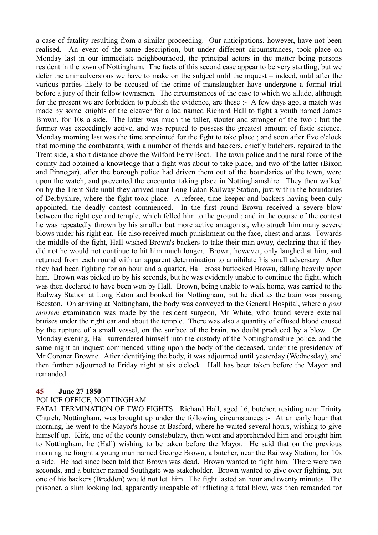a case of fatality resulting from a similar proceeding. Our anticipations, however, have not been realised. An event of the same description, but under different circumstances, took place on Monday last in our immediate neighbourhood, the principal actors in the matter being persons resident in the town of Nottingham. The facts of this second case appear to be very startling, but we defer the animadversions we have to make on the subject until the inquest – indeed, until after the various parties likely to be accused of the crime of manslaughter have undergone a formal trial before a jury of their fellow townsmen. The circumstances of the case to which we allude, although for the present we are forbidden to publish the evidence, are these :- A few days ago, a match was made by some knights of the cleaver for a lad named Richard Hall to fight a youth named James Brown, for 10s a side. The latter was much the taller, stouter and stronger of the two ; but the former was exceedingly active, and was reputed to possess the greatest amount of fistic science. Monday morning last was the time appointed for the fight to take place ; and soon after five o'clock that morning the combatants, with a number of friends and backers, chiefly butchers, repaired to the Trent side, a short distance above the Wilford Ferry Boat. The town police and the rural force of the county had obtained a knowledge that a fight was about to take place, and two of the latter (Bixon and Pinnegar), after the borough police had driven them out of the boundaries of the town, were upon the watch, and prevented the encounter taking place in Nottinghamshire. They then walked on by the Trent Side until they arrived near Long Eaton Railway Station, just within the boundaries of Derbyshire, where the fight took place. A referee, time keeper and backers having been duly appointed, the deadly contest commenced. In the first round Brown received a severe blow between the right eye and temple, which felled him to the ground ; and in the course of the contest he was repeatedly thrown by his smaller but more active antagonist, who struck him many severe blows under his right ear. He also received much punishment on the face, chest and arms. Towards the middle of the fight, Hall wished Brown's backers to take their man away, declaring that if they did not he would not continue to hit him much longer. Brown, however, only laughed at him, and returned from each round with an apparent determination to annihilate his small adversary. After they had been fighting for an hour and a quarter, Hall cross buttocked Brown, falling heavily upon him. Brown was picked up by his seconds, but he was evidently unable to continue the fight, which was then declared to have been won by Hall. Brown, being unable to walk home, was carried to the Railway Station at Long Eaton and booked for Nottingham, but he died as the train was passing Beeston. On arriving at Nottingham, the body was conveyed to the General Hospital, where a *post mortem* examination was made by the resident surgeon, Mr White, who found severe external bruises under the right ear and about the temple. There was also a quantity of effused blood caused by the rupture of a small vessel, on the surface of the brain, no doubt produced by a blow. On Monday evening, Hall surrendered himself into the custody of the Nottinghamshire police, and the same night an inquest commenced sitting upon the body of the deceased, under the presidency of Mr Coroner Browne. After identifying the body, it was adjourned until yesterday (Wednesday), and then further adjourned to Friday night at six o'clock. Hall has been taken before the Mayor and remanded.

### **45 June 27 1850**

### POLICE OFFICE, NOTTINGHAM

FATAL TERMINATION OF TWO FIGHTS Richard Hall, aged 16, butcher, residing near Trinity Church, Nottingham, was brought up under the following circumstances :- At an early hour that morning, he went to the Mayor's house at Basford, where he waited several hours, wishing to give himself up. Kirk, one of the county constabulary, then went and apprehended him and brought him to Nottingham, he (Hall) wishing to be taken before the Mayor. He said that on the previous morning he fought a young man named George Brown, a butcher, near the Railway Station, for 10s a side. He had since been told that Brown was dead. Brown wanted to fight him. There were two seconds, and a butcher named Southgate was stakeholder. Brown wanted to give over fighting, but one of his backers (Breddon) would not let him. The fight lasted an hour and twenty minutes. The prisoner, a slim looking lad, apparently incapable of inflicting a fatal blow, was then remanded for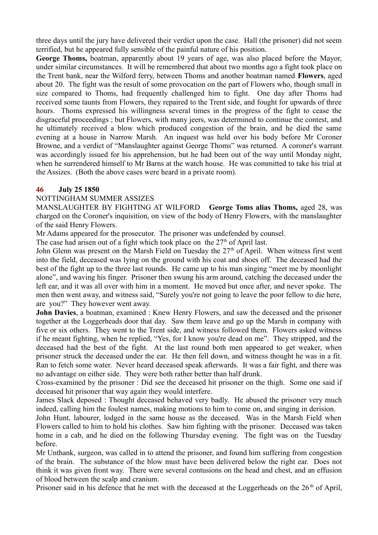three days until the jury have delivered their verdict upon the case. Hall (the prisoner) did not seem terrified, but he appeared fully sensible of the painful nature of his position.

**George Thoms,** boatman, apparently about 19 years of age, was also placed before the Mayor, under similar circumstances. It will be remembered that about two months ago a fight took place on the Trent bank, near the Wilford ferry, between Thoms and another boatman named **Flowers**, aged about 20. The fight was the result of some provocation on the part of Flowers who, though small in size compared to Thoms, had frequently challenged him to fight. One day after Thoms had received some taunts from Flowers, they repaired to the Trent side, and fought for upwards of three hours. Thoms expressed his willingness several times in the progress of the fight to cease the disgraceful proceedings ; but Flowers, with many jeers, was determined to continue the contest, and he ultimately received a blow which produced congestion of the brain, and he died the same evening at a house in Narrow Marsh. An inquest was held over his body before Mr Coroner Browne, and a verdict of "Manslaughter against George Thoms" was returned. A coroner's warrant was accordingly issued for his apprehension, but he had been out of the way until Monday night, when he surrendered himself to Mr Barns at the watch house. He was committed to take his trial at the Assizes. (Both the above cases were heard in a private room).

### **46 July 25 1850**

### NOTTINGHAM SUMMER ASSIZES

MANSLAUGHTER BY FIGHTING AT WILFORD **George Toms alias Thoms,** aged 28, was charged on the Coroner's inquisition, on view of the body of Henry Flowers, with the manslaughter of the said Henry Flowers.

Mr Adams appeared for the prosecutor. The prisoner was undefended by counsel.

The case had arisen out of a fight which took place on the  $27<sup>th</sup>$  of April last.

John Glenn was present on the Marsh Field on Tuesday the  $27<sup>th</sup>$  of April. When witness first went into the field, deceased was lying on the ground with his coat and shoes off. The deceased had the best of the fight up to the three last rounds. He came up to his man singing "meet me by moonlight alone", and waving his finger. Prisoner then swung his arm around, catching the deceased under the left ear, and it was all over with him in a moment. He moved but once after, and never spoke. The men then went away, and witness said, "Surely you're not going to leave the poor fellow to die here, are you?" They however went away.

**John Davies**, a boatman, examined : Knew Henry Flowers, and saw the deceased and the prisoner together at the Loggerheads door that day. Saw them leave and go up the Marsh in company with five or six others. They went to the Trent side, and witness followed them. Flowers asked witness if he meant fighting, when he replied, "Yes, for I know you're dead on me". They stripped, and the deceased had the best of the fight. At the last round both men appeared to get weaker, when prisoner struck the deceased under the ear. He then fell down, and witness thought he was in a fit. Ran to fetch some water. Never heard deceased speak afterwards. It was a fair fight, and there was no advantage on either side. They were both rather better than half drunk.

Cross-examined by the prisoner : Did see the deceased hit prisoner on the thigh. Some one said if deceased hit prisoner that way again they would interfere.

James Slack deposed : Thought deceased behaved very badly. He abused the prisoner very much indeed, calling him the foulest names, making motions to him to come on, and singing in derision.

John Hunt, labourer, lodged in the same house as the deceased. Was in the Marsh Field when Flowers called to him to hold his clothes. Saw him fighting with the prisoner. Deceased was taken home in a cab, and he died on the following Thursday evening. The fight was on the Tuesday before.

Mr Unthank, surgeon, was called in to attend the prisoner, and found him suffering from congestion of the brain. The substance of the blow must have been delivered below the right ear. Does not think it was given front way. There were several contusions on the head and chest, and an effusion of blood between the scalp and cranium.

Prisoner said in his defence that he met with the deceased at the Loggerheads on the  $26<sup>th</sup>$  of April,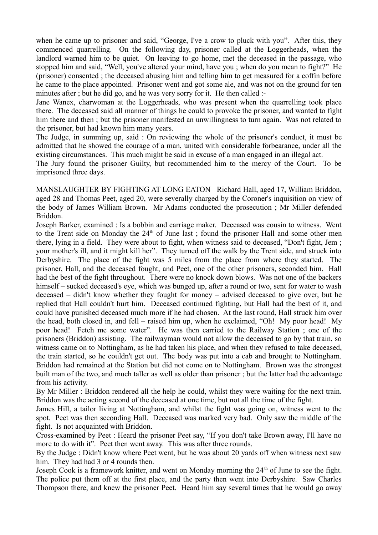when he came up to prisoner and said, "George, I've a crow to pluck with you". After this, they commenced quarrelling. On the following day, prisoner called at the Loggerheads, when the landlord warned him to be quiet. On leaving to go home, met the deceased in the passage, who stopped him and said, "Well, you've altered your mind, have you ; when do you mean to fight?" He (prisoner) consented ; the deceased abusing him and telling him to get measured for a coffin before he came to the place appointed. Prisoner went and got some ale, and was not on the ground for ten minutes after ; but he did go, and he was very sorry for it. He then called :-

Jane Wanex, charwoman at the Loggerheads, who was present when the quarrelling took place there. The deceased said all manner of things he could to provoke the prisoner, and wanted to fight him there and then ; but the prisoner manifested an unwillingness to turn again. Was not related to the prisoner, but had known him many years.

The Judge, in summing up, said : On reviewing the whole of the prisoner's conduct, it must be admitted that he showed the courage of a man, united with considerable forbearance, under all the existing circumstances. This much might be said in excuse of a man engaged in an illegal act.

The Jury found the prisoner Guilty, but recommended him to the mercy of the Court. To be imprisoned three days.

MANSLAUGHTER BY FIGHTING AT LONG EATON Richard Hall, aged 17, William Briddon, aged 28 and Thomas Peet, aged 20, were severally charged by the Coroner's inquisition on view of the body of James William Brown. Mr Adams conducted the prosecution ; Mr Miller defended Briddon.

Joseph Barker, examined : Is a bobbin and carriage maker. Deceased was cousin to witness. Went to the Trent side on Monday the  $24<sup>th</sup>$  of June last ; found the prisoner Hall and some other men there, lying in a field. They were about to fight, when witness said to deceased, "Don't fight, Jem ; your mother's ill, and it might kill her". They turned off the walk by the Trent side, and struck into Derbyshire. The place of the fight was 5 miles from the place from where they started. The prisoner, Hall, and the deceased fought, and Peet, one of the other prisoners, seconded him. Hall had the best of the fight throughout. There were no knock down blows. Was not one of the backers himself – sucked deceased's eye, which was bunged up, after a round or two, sent for water to wash deceased – didn't know whether they fought for money – advised deceased to give over, but he replied that Hall couldn't hurt him. Deceased continued fighting, but Hall had the best of it, and could have punished deceased much more if he had chosen. At the last round, Hall struck him over the head, both closed in, and fell – raised him up, when he exclaimed, "Oh! My poor head! My poor head! Fetch me some water". He was then carried to the Railway Station ; one of the prisoners (Briddon) assisting. The railwayman would not allow the deceased to go by that train, so witness came on to Nottingham, as he had taken his place, and when they refused to take deceased, the train started, so he couldn't get out. The body was put into a cab and brought to Nottingham. Briddon had remained at the Station but did not come on to Nottingham. Brown was the strongest built man of the two, and much taller as well as older than prisoner ; but the latter had the advantage from his activity.

By Mr Miller : Briddon rendered all the help he could, whilst they were waiting for the next train. Briddon was the acting second of the deceased at one time, but not all the time of the fight.

James Hill, a tailor living at Nottingham, and whilst the fight was going on, witness went to the spot. Peet was then seconding Hall. Deceased was marked very bad. Only saw the middle of the fight. Is not acquainted with Briddon.

Cross-examined by Peet : Heard the prisoner Peet say, "If you don't take Brown away, I'll have no more to do with it". Peet then went away. This was after three rounds.

By the Judge : Didn't know where Peet went, but he was about 20 yards off when witness next saw him. They had had 3 or 4 rounds then.

Joseph Cook is a framework knitter, and went on Monday morning the 24<sup>th</sup> of June to see the fight. The police put them off at the first place, and the party then went into Derbyshire. Saw Charles Thompson there, and knew the prisoner Peet. Heard him say several times that he would go away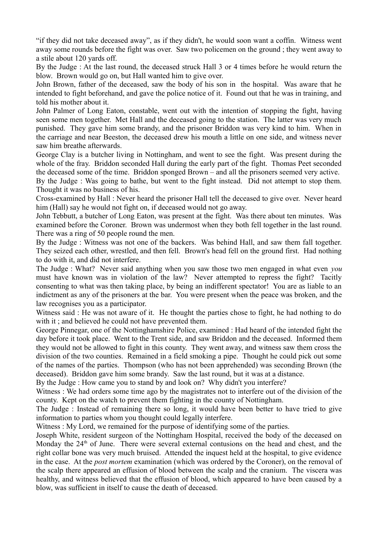"if they did not take deceased away", as if they didn't, he would soon want a coffin. Witness went away some rounds before the fight was over. Saw two policemen on the ground ; they went away to a stile about 120 yards off.

By the Judge : At the last round, the deceased struck Hall 3 or 4 times before he would return the blow. Brown would go on, but Hall wanted him to give over.

John Brown, father of the deceased, saw the body of his son in the hospital. Was aware that he intended to fight beforehand, and gave the police notice of it. Found out that he was in training, and told his mother about it.

John Palmer of Long Eaton, constable, went out with the intention of stopping the fight, having seen some men together. Met Hall and the deceased going to the station. The latter was very much punished. They gave him some brandy, and the prisoner Briddon was very kind to him. When in the carriage and near Beeston, the deceased drew his mouth a little on one side, and witness never saw him breathe afterwards.

George Clay is a butcher living in Nottingham, and went to see the fight. Was present during the whole of the fray. Briddon seconded Hall during the early part of the fight. Thomas Peet seconded the deceased some of the time. Briddon sponged Brown – and all the prisoners seemed very active.

By the Judge : Was going to bathe, but went to the fight instead. Did not attempt to stop them. Thought it was no business of his.

Cross-examined by Hall : Never heard the prisoner Hall tell the deceased to give over. Never heard him (Hall) say he would not fight on, if deceased would not go away.

John Tebbutt, a butcher of Long Eaton, was present at the fight. Was there about ten minutes. Was examined before the Coroner. Brown was undermost when they both fell together in the last round. There was a ring of 50 people round the men.

By the Judge : Witness was not one of the backers. Was behind Hall, and saw them fall together. They seized each other, wrestled, and then fell. Brown's head fell on the ground first. Had nothing to do with it, and did not interfere.

The Judge : What? Never said anything when you saw those two men engaged in what even *you* must have known was in violation of the law? Never attempted to repress the fight? Tacitly consenting to what was then taking place, by being an indifferent spectator! You are as liable to an indictment as any of the prisoners at the bar. You were present when the peace was broken, and the law recognises you as a participator.

Witness said : He was not aware of it. He thought the parties chose to fight, he had nothing to do with it ; and believed he could not have prevented them.

George Pinnegar, one of the Nottinghamshire Police, examined : Had heard of the intended fight the day before it took place. Went to the Trent side, and saw Briddon and the deceased. Informed them they would not be allowed to fight in this county. They went away, and witness saw them cross the division of the two counties. Remained in a field smoking a pipe. Thought he could pick out some of the names of the parties. Thompson (who has not been apprehended) was seconding Brown (the deceased). Briddon gave him some brandy. Saw the last round, but it was at a distance.

By the Judge : How came you to stand by and look on? Why didn't you interfere?

Witness : We had orders some time ago by the magistrates not to interfere out of the division of the county. Kept on the watch to prevent them fighting in the county of Nottingham.

The Judge : Instead of remaining there so long, it would have been better to have tried to give information to parties whom you thought could legally interfere.

Witness : My Lord, we remained for the purpose of identifying some of the parties.

Joseph White, resident surgeon of the Nottingham Hospital, received the body of the deceased on Monday the  $24<sup>th</sup>$  of June. There were several external contusions on the head and chest, and the right collar bone was very much bruised. Attended the inquest held at the hospital, to give evidence in the case. At the *post mortem* examination (which was ordered by the Coroner), on the removal of the scalp there appeared an effusion of blood between the scalp and the cranium. The viscera was healthy, and witness believed that the effusion of blood, which appeared to have been caused by a blow, was sufficient in itself to cause the death of deceased.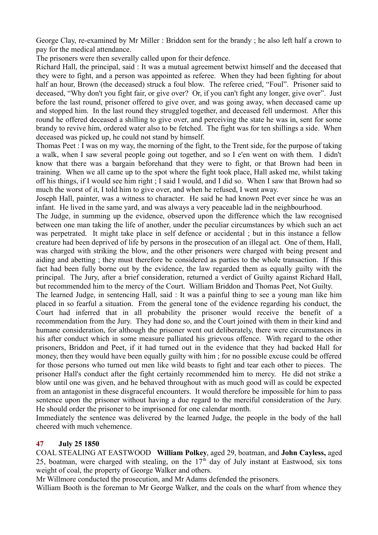George Clay, re-examined by Mr Miller : Briddon sent for the brandy ; he also left half a crown to pay for the medical attendance.

The prisoners were then severally called upon for their defence.

Richard Hall, the principal, said : It was a mutual agreement betwixt himself and the deceased that they were to fight, and a person was appointed as referee. When they had been fighting for about half an hour, Brown (the deceased) struck a foul blow. The referee cried, "Foul". Prisoner said to deceased, "Why don't you fight fair, or give over? Or, if you can't fight any longer, give over". Just before the last round, prisoner offered to give over, and was going away, when deceased came up and stopped him. In the last round they struggled together, and deceased fell undermost. After this round he offered deceased a shilling to give over, and perceiving the state he was in, sent for some brandy to revive him, ordered water also to be fetched. The fight was for ten shillings a side. When deceased was picked up, he could not stand by himself.

Thomas Peet : I was on my way, the morning of the fight, to the Trent side, for the purpose of taking a walk, when I saw several people going out together, and so I e'en went on with them. I didn't know that there was a bargain beforehand that they were to fight, or that Brown had been in training. When we all came up to the spot where the fight took place, Hall asked me, whilst taking off his things, if I would see him right ; I said I would, and I did so. When I saw that Brown had so much the worst of it, I told him to give over, and when he refused, I went away.

Joseph Hall, painter, was a witness to character. He said he had known Peet ever since he was an infant. He lived in the same yard, and was always a very peaceable lad in the neighbourhood.

The Judge, in summing up the evidence, observed upon the difference which the law recognised between one man taking the life of another, under the peculiar circumstances by which such an act was perpetrated. It might take place in self defence or accidental ; but in this instance a fellow creature had been deprived of life by persons in the prosecution of an illegal act. One of them, Hall, was charged with striking the blow, and the other prisoners were charged with being present and aiding and abetting ; they must therefore be considered as parties to the whole transaction. If this fact had been fully borne out by the evidence, the law regarded them as equally guilty with the principal. The Jury, after a brief consideration, returned a verdict of Guilty against Richard Hall, but recommended him to the mercy of the Court. William Briddon and Thomas Peet, Not Guilty.

The learned Judge, in sentencing Hall, said : It was a painful thing to see a young man like him placed in so fearful a situation. From the general tone of the evidence regarding his conduct, the Court had inferred that in all probability the prisoner would receive the benefit of a recommendation from the Jury. They had done so, and the Court joined with them in their kind and humane consideration, for although the prisoner went out deliberately, there were circumstances in his after conduct which in some measure palliated his grievous offence. With regard to the other prisoners, Briddon and Peet, if it had turned out in the evidence that they had backed Hall for money, then they would have been equally guilty with him ; for no possible excuse could be offered for those persons who turned out men like wild beasts to fight and tear each other to pieces. The prisoner Hall's conduct after the fight certainly recommended him to mercy. He did not strike a blow until one was given, and he behaved throughout with as much good will as could be expected from an antagonist in these disgraceful encounters. It would therefore be impossible for him to pass sentence upon the prisoner without having a due regard to the merciful consideration of the Jury. He should order the prisoner to be imprisoned for one calendar month.

Immediately the sentence was delivered by the learned Judge, the people in the body of the hall cheered with much vehemence.

### **47 July 25 1850**

COAL STEALING AT EASTWOOD **William Polkey**, aged 29, boatman, and **John Cayless,** aged 25, boatman, were charged with stealing, on the  $17<sup>th</sup>$  day of July instant at Eastwood, six tons weight of coal, the property of George Walker and others.

Mr Willmore conducted the prosecution, and Mr Adams defended the prisoners.

William Booth is the foreman to Mr George Walker, and the coals on the wharf from whence they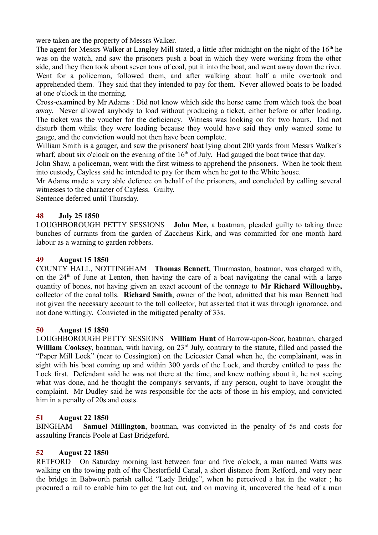were taken are the property of Messrs Walker.

The agent for Messrs Walker at Langley Mill stated, a little after midnight on the night of the 16<sup>th</sup> he was on the watch, and saw the prisoners push a boat in which they were working from the other side, and they then took about seven tons of coal, put it into the boat, and went away down the river. Went for a policeman, followed them, and after walking about half a mile overtook and apprehended them. They said that they intended to pay for them. Never allowed boats to be loaded at one o'clock in the morning.

Cross-examined by Mr Adams : Did not know which side the horse came from which took the boat away. Never allowed anybody to load without producing a ticket, either before or after loading. The ticket was the voucher for the deficiency. Witness was looking on for two hours. Did not disturb them whilst they were loading because they would have said they only wanted some to gauge, and the conviction would not then have been complete.

William Smith is a gauger, and saw the prisoners' boat lying about 200 yards from Messrs Walker's wharf, about six o'clock on the evening of the  $16<sup>th</sup>$  of July. Had gauged the boat twice that day.

John Shaw, a policeman, went with the first witness to apprehend the prisoners. When he took them into custody, Cayless said he intended to pay for them when he got to the White house.

Mr Adams made a very able defence on behalf of the prisoners, and concluded by calling several witnesses to the character of Cayless. Guilty.

Sentence deferred until Thursday.

## **48 July 25 1850**

LOUGHBOROUGH PETTY SESSIONS **John Mee,** a boatman, pleaded guilty to taking three bunches of currants from the garden of Zaccheus Kirk, and was committed for one month hard labour as a warning to garden robbers.

### **49 August 15 1850**

COUNTY HALL, NOTTINGHAM **Thomas Bennett**, Thurmaston, boatman, was charged with, on the  $24<sup>th</sup>$  of June at Lenton, then having the care of a boat navigating the canal with a large quantity of bones, not having given an exact account of the tonnage to **Mr Richard Willoughby,** collector of the canal tolls. **Richard Smith**, owner of the boat, admitted that his man Bennett had not given the necessary account to the toll collector, but asserted that it was through ignorance, and not done wittingly. Convicted in the mitigated penalty of 33s.

### **50 August 15 1850**

LOUGHBOROUGH PETTY SESSIONS **William Hunt** of Barrow-upon-Soar, boatman, charged **William Cooksey**, boatman, with having, on 23<sup>rd</sup> July, contrary to the statute, filled and passed the "Paper Mill Lock" (near to Cossington) on the Leicester Canal when he, the complainant, was in sight with his boat coming up and within 300 yards of the Lock, and thereby entitled to pass the Lock first. Defendant said he was not there at the time, and knew nothing about it, he not seeing what was done, and he thought the company's servants, if any person, ought to have brought the complaint. Mr Dudley said he was responsible for the acts of those in his employ, and convicted him in a penalty of 20s and costs.

### **51 August 22 1850**

BINGHAM **Samuel Millington**, boatman, was convicted in the penalty of 5s and costs for assaulting Francis Poole at East Bridgeford.

## **52 August 22 1850**

RETFORD On Saturday morning last between four and five o'clock, a man named Watts was walking on the towing path of the Chesterfield Canal, a short distance from Retford, and very near the bridge in Babworth parish called "Lady Bridge", when he perceived a hat in the water ; he procured a rail to enable him to get the hat out, and on moving it, uncovered the head of a man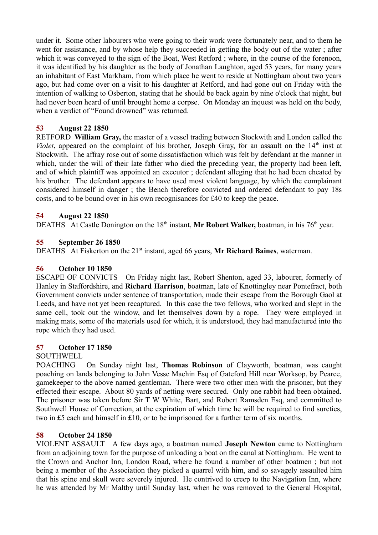under it. Some other labourers who were going to their work were fortunately near, and to them he went for assistance, and by whose help they succeeded in getting the body out of the water ; after which it was conveyed to the sign of the Boat, West Retford; where, in the course of the forenoon, it was identified by his daughter as the body of Jonathan Laughton, aged 53 years, for many years an inhabitant of East Markham, from which place he went to reside at Nottingham about two years ago, but had come over on a visit to his daughter at Retford, and had gone out on Friday with the intention of walking to Osberton, stating that he should be back again by nine o'clock that night, but had never been heard of until brought home a corpse. On Monday an inquest was held on the body, when a verdict of "Found drowned" was returned.

## **53 August 22 1850**

RETFORD **William Gray,** the master of a vessel trading between Stockwith and London called the *Violet*, appeared on the complaint of his brother, Joseph Gray, for an assault on the  $14<sup>th</sup>$  inst at Stockwith. The affray rose out of some dissatisfaction which was felt by defendant at the manner in which, under the will of their late father who died the preceding year, the property had been left, and of which plaintiff was appointed an executor ; defendant alleging that he had been cheated by his brother. The defendant appears to have used most violent language, by which the complainant considered himself in danger ; the Bench therefore convicted and ordered defendant to pay 18s costs, and to be bound over in his own recognisances for £40 to keep the peace.

### **54 August 22 1850**

DEATHS At Castle Donington on the 18<sup>th</sup> instant, Mr Robert Walker, boatman, in his 76<sup>th</sup> year.

### **55 September 26 1850**

DEATHS At Fiskerton on the 21<sup>st</sup> instant, aged 66 years, Mr Richard Baines, waterman.

### **56 October 10 1850**

ESCAPE OF CONVICTS On Friday night last, Robert Shenton, aged 33, labourer, formerly of Hanley in Staffordshire, and **Richard Harrison**, boatman, late of Knottingley near Pontefract, both Government convicts under sentence of transportation, made their escape from the Borough Gaol at Leeds, and have not yet been recaptured. In this case the two fellows, who worked and slept in the same cell, took out the window, and let themselves down by a rope. They were employed in making mats, some of the materials used for which, it is understood, they had manufactured into the rope which they had used.

### **57 October 17 1850**

### SOUTHWELL

POACHING On Sunday night last, **Thomas Robinson** of Clayworth, boatman, was caught poaching on lands belonging to John Vesse Machin Esq of Gateford Hill near Worksop, by Pearce, gamekeeper to the above named gentleman. There were two other men with the prisoner, but they effected their escape. About 80 yards of netting were secured. Only one rabbit had been obtained. The prisoner was taken before Sir T W White, Bart, and Robert Ramsden Esq, and committed to Southwell House of Correction, at the expiration of which time he will be required to find sureties, two in £5 each and himself in £10, or to be imprisoned for a further term of six months.

### **58 October 24 1850**

VIOLENT ASSAULT A few days ago, a boatman named **Joseph Newton** came to Nottingham from an adjoining town for the purpose of unloading a boat on the canal at Nottingham. He went to the Crown and Anchor Inn, London Road, where he found a number of other boatmen ; but not being a member of the Association they picked a quarrel with him, and so savagely assaulted him that his spine and skull were severely injured. He contrived to creep to the Navigation Inn, where he was attended by Mr Maltby until Sunday last, when he was removed to the General Hospital,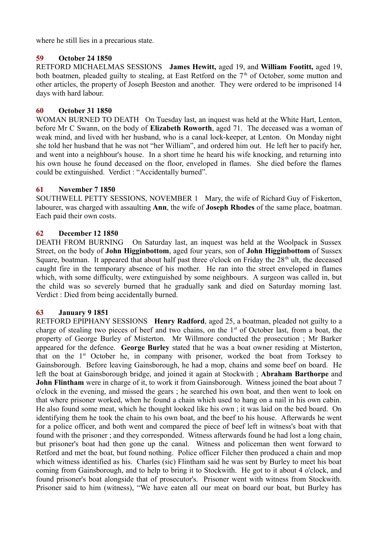where he still lies in a precarious state.

### **59 October 24 1850**

RETFORD MICHAELMAS SESSIONS **James Hewitt,** aged 19, and **William Footitt,** aged 19, both boatmen, pleaded guilty to stealing, at East Retford on the  $7<sup>th</sup>$  of October, some mutton and other articles, the property of Joseph Beeston and another. They were ordered to be imprisoned 14 days with hard labour.

### **60 October 31 1850**

WOMAN BURNED TO DEATH On Tuesday last, an inquest was held at the White Hart, Lenton, before Mr C Swann, on the body of **Elizabeth Roworth**, aged 71. The deceased was a woman of weak mind, and lived with her husband, who is a canal lock-keeper, at Lenton. On Monday night she told her husband that he was not "her William", and ordered him out. He left her to pacify her, and went into a neighbour's house. In a short time he heard his wife knocking, and returning into his own house he found deceased on the floor, enveloped in flames. She died before the flames could be extinguished. Verdict : "Accidentally burned".

### **61 November 7 1850**

SOUTHWELL PETTY SESSIONS, NOVEMBER 1 Mary, the wife of Richard Guy of Fiskerton, labourer, was charged with assaulting **Ann**, the wife of **Joseph Rhodes** of the same place, boatman. Each paid their own costs.

### **62 December 12 1850**

DEATH FROM BURNING On Saturday last, an inquest was held at the Woolpack in Sussex Street, on the body of **John Higginbottom**, aged four years, son of **John Higginbottom** of Sussex Square, boatman. It appeared that about half past three o'clock on Friday the  $28<sup>th</sup>$  ult, the deceased caught fire in the temporary absence of his mother. He ran into the street enveloped in flames which, with some difficulty, were extinguished by some neighbours. A surgeon was called in, but the child was so severely burned that he gradually sank and died on Saturday morning last. Verdict : Died from being accidentally burned.

### **63 January 9 1851**

RETFORD EPIPHANY SESSIONS **Henry Radford**, aged 25, a boatman, pleaded not guilty to a charge of stealing two pieces of beef and two chains, on the  $1<sup>st</sup>$  of October last, from a boat, the property of George Burley of Misterton. Mr Willmore conducted the prosecution ; Mr Barker appeared for the defence. **George Burley** stated that he was a boat owner residing at Misterton, that on the 1<sup>st</sup> October he, in company with prisoner, worked the boat from Torksey to Gainsborough. Before leaving Gainsborough, he had a mop, chains and some beef on board. He left the boat at Gainsborough bridge, and joined it again at Stockwith ; **Abraham Barthorpe** and **John Flintham** were in charge of it, to work it from Gainsborough. Witness joined the boat about 7 o'clock in the evening, and missed the gears ; he searched his own boat, and then went to look on that where prisoner worked, when he found a chain which used to hang on a nail in his own cabin. He also found some meat, which he thought looked like his own ; it was laid on the bed board. On identifying them he took the chain to his own boat, and the beef to his house. Afterwards he went for a police officer, and both went and compared the piece of beef left in witness's boat with that found with the prisoner ; and they corresponded. Witness afterwards found he had lost a long chain, but prisoner's boat had then gone up the canal. Witness and policeman then went forward to Retford and met the boat, but found nothing. Police officer Filcher then produced a chain and mop which witness identified as his. Charles (sic) Flintham said he was sent by Burley to meet his boat coming from Gainsborough, and to help to bring it to Stockwith. He got to it about 4 o'clock, and found prisoner's boat alongside that of prosecutor's. Prisoner went with witness from Stockwith. Prisoner said to him (witness), "We have eaten all our meat on board our boat, but Burley has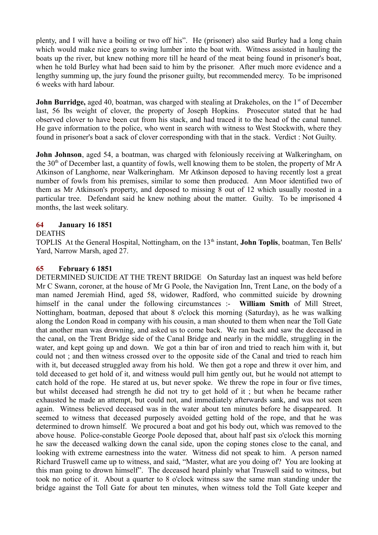plenty, and I will have a boiling or two off his". He (prisoner) also said Burley had a long chain which would make nice gears to swing lumber into the boat with. Witness assisted in hauling the boats up the river, but knew nothing more till he heard of the meat being found in prisoner's boat, when he told Burley what had been said to him by the prisoner. After much more evidence and a lengthy summing up, the jury found the prisoner guilty, but recommended mercy. To be imprisoned 6 weeks with hard labour.

**John Burridge,** aged 40, boatman, was charged with stealing at Drakeholes, on the 1<sup>st</sup> of December last, 56 lbs weight of clover, the property of Joseph Hopkins. Prosecutor stated that he had observed clover to have been cut from his stack, and had traced it to the head of the canal tunnel. He gave information to the police, who went in search with witness to West Stockwith, where they found in prisoner's boat a sack of clover corresponding with that in the stack. Verdict : Not Guilty.

**John Johnson**, aged 54, a boatman, was charged with feloniously receiving at Walkeringham, on the 30<sup>th</sup> of December last, a quantity of fowls, well knowing them to be stolen, the property of Mr A Atkinson of Langhome, near Walkeringham. Mr Atkinson deposed to having recently lost a great number of fowls from his premises, similar to some then produced. Ann Moor identified two of them as Mr Atkinson's property, and deposed to missing 8 out of 12 which usually roosted in a particular tree. Defendant said he knew nothing about the matter. Guilty. To be imprisoned 4 months, the last week solitary.

### **64 January 16 1851**

### DEATHS

TOPLIS At the General Hospital, Nottingham, on the 13<sup>th</sup> instant, **John Toplis**, boatman, Ten Bells' Yard, Narrow Marsh, aged 27.

### **65 February 6 1851**

DETERMINED SUICIDE AT THE TRENT BRIDGE On Saturday last an inquest was held before Mr C Swann, coroner, at the house of Mr G Poole, the Navigation Inn, Trent Lane, on the body of a man named Jeremiah Hind, aged 58, widower, Radford, who committed suicide by drowning himself in the canal under the following circumstances :- **William Smith** of Mill Street, Nottingham, boatman, deposed that about 8 o'clock this morning (Saturday), as he was walking along the London Road in company with his cousin, a man shouted to them when near the Toll Gate that another man was drowning, and asked us to come back. We ran back and saw the deceased in the canal, on the Trent Bridge side of the Canal Bridge and nearly in the middle, struggling in the water, and kept going up and down. We got a thin bar of iron and tried to reach him with it, but could not ; and then witness crossed over to the opposite side of the Canal and tried to reach him with it, but deceased struggled away from his hold. We then got a rope and threw it over him, and told deceased to get hold of it, and witness would pull him gently out, but he would not attempt to catch hold of the rope. He stared at us, but never spoke. We threw the rope in four or five times, but whilst deceased had strength he did not try to get hold of it ; but when he became rather exhausted he made an attempt, but could not, and immediately afterwards sank, and was not seen again. Witness believed deceased was in the water about ten minutes before he disappeared. It seemed to witness that deceased purposely avoided getting hold of the rope, and that he was determined to drown himself. We procured a boat and got his body out, which was removed to the above house. Police-constable George Poole deposed that, about half past six o'clock this morning he saw the deceased walking down the canal side, upon the coping stones close to the canal, and looking with extreme earnestness into the water. Witness did not speak to him. A person named Richard Truswell came up to witness, and said, "Master, what are you doing of? You are looking at this man going to drown himself". The deceased heard plainly what Truswell said to witness, but took no notice of it. About a quarter to 8 o'clock witness saw the same man standing under the bridge against the Toll Gate for about ten minutes, when witness told the Toll Gate keeper and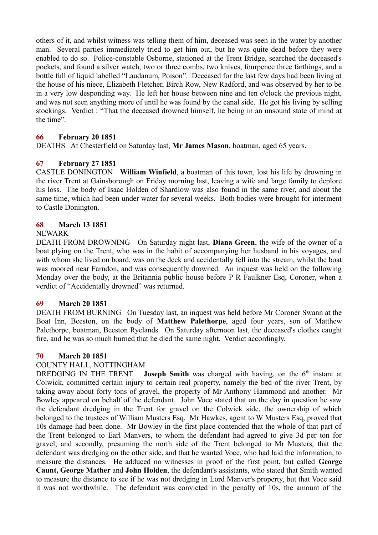others of it, and whilst witness was telling them of him, deceased was seen in the water by another man. Several parties immediately tried to get him out, but he was quite dead before they were enabled to do so. Police-constable Osborne, stationed at the Trent Bridge, searched the deceased's pockets, and found a silver watch, two or three combs, two knives, fourpence three farthings, and a bottle full of liquid labelled "Laudanum, Poison". Deceased for the last few days had been living at the house of his niece, Elizabeth Fletcher, Birch Row, New Radford, and was observed by her to be in a very low desponding way. He left her house between nine and ten o'clock the previous night, and was not seen anything more of until he was found by the canal side. He got his living by selling stockings. Verdict : "That the deceased drowned himself, he being in an unsound state of mind at the time".

## **66 February 20 1851**

DEATHS At Chesterfield on Saturday last, **Mr James Mason**, boatman, aged 65 years.

## **67 February 27 1851**

CASTLE DONINGTON **William Winfield**, a boatman of this town, lost his life by drowning in the river Trent at Gainsborough on Friday morning last, leaving a wife and large family to deplore his loss. The body of Isaac Holden of Shardlow was also found in the same river, and about the same time, which had been under water for several weeks. Both bodies were brought for interment to Castle Donington.

### **68 March 13 1851**

### NEWARK

DEATH FROM DROWNING On Saturday night last, **Diana Green**, the wife of the owner of a boat plying on the Trent, who was in the habit of accompanying her husband in his voyages, and with whom she lived on board, was on the deck and accidentally fell into the stream, whilst the boat was moored near Farndon, and was consequently drowned. An inquest was held on the following Monday over the body, at the Britannia public house before P R Faulkner Esq, Coroner, when a verdict of "Accidentally drowned" was returned.

### **69 March 20 1851**

DEATH FROM BURNING On Tuesday last, an inquest was held before Mr Coroner Swann at the Boat Inn, Beeston, on the body of **Matthew Palethorpe**, aged four years, son of Matthew Palethorpe, boatman, Beeston Ryelands. On Saturday afternoon last, the deceased's clothes caught fire, and he was so much burned that he died the same night. Verdict accordingly.

### **70 March 20 1851**

### COUNTY HALL, NOTTINGHAM

DREDGING IN THE TRENT **Joseph Smith** was charged with having, on the 6<sup>th</sup> instant at Colwick, committed certain injury to certain real property, namely the bed of the river Trent, by taking away about forty tons of gravel, the property of Mr Anthony Hammond and another. Mr Bowley appeared on behalf of the defendant. John Voce stated that on the day in question he saw the defendant dredging in the Trent for gravel on the Colwick side, the ownership of which belonged to the trustees of William Musters Esq. Mr Hawkes, agent to W Musters Esq, proved that 10s damage had been done. Mr Bowley in the first place contended that the whole of that part of the Trent belonged to Earl Manvers, to whom the defendant had agreed to give 3d per ton for gravel; and secondly, presuming the north side of the Trent belonged to Mr Musters, that the defendant was dredging on the other side, and that he wanted Voce, who had laid the information, to measure the distances. He adduced no witnesses in proof of the first point, but called **George Caunt, George Mather** and **John Holden**, the defendant's assistants, who stated that Smith wanted to measure the distance to see if he was not dredging in Lord Manver's property, but that Voce said it was not worthwhile. The defendant was convicted in the penalty of 10s, the amount of the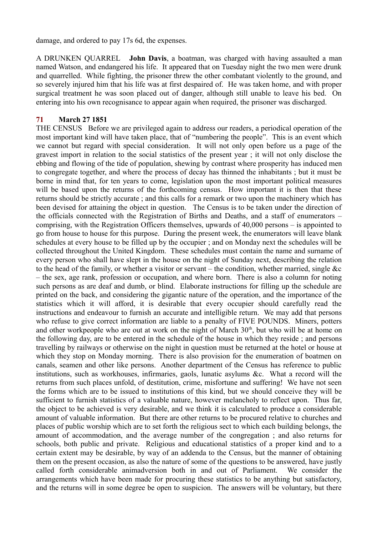damage, and ordered to pay 17s 6d, the expenses.

A DRUNKEN QUARREL **John Davis**, a boatman, was charged with having assaulted a man named Watson, and endangered his life. It appeared that on Tuesday night the two men were drunk and quarrelled. While fighting, the prisoner threw the other combatant violently to the ground, and so severely injured him that his life was at first despaired of. He was taken home, and with proper surgical treatment he was soon placed out of danger, although still unable to leave his bed. On entering into his own recognisance to appear again when required, the prisoner was discharged.

### **71 March 27 1851**

THE CENSUS Before we are privileged again to address our readers, a periodical operation of the most important kind will have taken place, that of "numbering the people". This is an event which we cannot but regard with special consideration. It will not only open before us a page of the gravest import in relation to the social statistics of the present year ; it will not only disclose the ebbing and flowing of the tide of population, shewing by contrast where prosperity has induced men to congregate together, and where the process of decay has thinned the inhabitants ; but it must be borne in mind that, for ten years to come, legislation upon the most important political measures will be based upon the returns of the forthcoming census. How important it is then that these returns should be strictly accurate ; and this calls for a remark or two upon the machinery which has been devised for attaining the object in question. The Census is to be taken under the direction of the officials connected with the Registration of Births and Deaths, and a staff of enumerators – comprising, with the Registration Officers themselves, upwards of 40,000 persons – is appointed to go from house to house for this purpose. During the present week, the enumerators will leave blank schedules at every house to be filled up by the occupier ; and on Monday next the schedules will be collected throughout the United Kingdom. These schedules must contain the name and surname of every person who shall have slept in the house on the night of Sunday next, describing the relation to the head of the family, or whether a visitor or servant – the condition, whether married, single &c – the sex, age rank, profession or occupation, and where born. There is also a column for noting such persons as are deaf and dumb, or blind. Elaborate instructions for filling up the schedule are printed on the back, and considering the gigantic nature of the operation, and the importance of the statistics which it will afford, it is desirable that every occupier should carefully read the instructions and endeavour to furnish an accurate and intelligible return. We may add that persons who refuse to give correct information are liable to a penalty of FIVE POUNDS. Miners, potters and other workpeople who are out at work on the night of March  $30<sup>th</sup>$ , but who will be at home on the following day, are to be entered in the schedule of the house in which they reside ; and persons travelling by railways or otherwise on the night in question must be returned at the hotel or house at which they stop on Monday morning. There is also provision for the enumeration of boatmen on canals, seamen and other like persons. Another department of the Census has reference to public institutions, such as workhouses, infirmaries, gaols, lunatic asylums &c. What a record will the returns from such places unfold, of destitution, crime, misfortune and suffering! We have not seen the forms which are to be issued to institutions of this kind, but we should conceive they will be sufficient to furnish statistics of a valuable nature, however melancholy to reflect upon. Thus far, the object to be achieved is very desirable, and we think it is calculated to produce a considerable amount of valuable information. But there are other returns to be procured relative to churches and places of public worship which are to set forth the religious sect to which each building belongs, the amount of accommodation, and the average number of the congregation ; and also returns for schools, both public and private. Religious and educational statistics of a proper kind and to a certain extent may be desirable, by way of an addenda to the Census, but the manner of obtaining them on the present occasion, as also the nature of some of the questions to be answered, have justly called forth considerable animadversion both in and out of Parliament. We consider the arrangements which have been made for procuring these statistics to be anything but satisfactory, and the returns will in some degree be open to suspicion. The answers will be voluntary, but there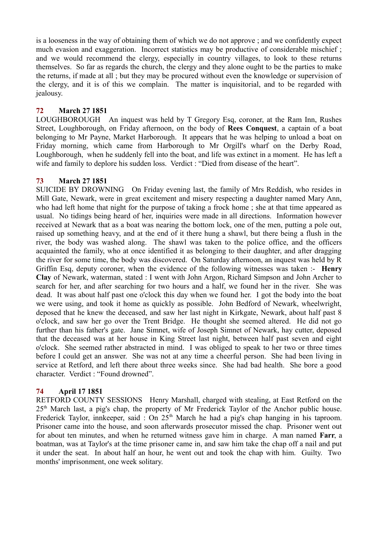is a looseness in the way of obtaining them of which we do not approve ; and we confidently expect much evasion and exaggeration. Incorrect statistics may be productive of considerable mischief ; and we would recommend the clergy, especially in country villages, to look to these returns themselves. So far as regards the church, the clergy and they alone ought to be the parties to make the returns, if made at all ; but they may be procured without even the knowledge or supervision of the clergy, and it is of this we complain. The matter is inquisitorial, and to be regarded with jealousy.

# **72 March 27 1851**

LOUGHBOROUGH An inquest was held by T Gregory Esq, coroner, at the Ram Inn, Rushes Street, Loughborough, on Friday afternoon, on the body of **Rees Conquest**, a captain of a boat belonging to Mr Payne, Market Harborough. It appears that he was helping to unload a boat on Friday morning, which came from Harborough to Mr Orgill's wharf on the Derby Road, Loughborough, when he suddenly fell into the boat, and life was extinct in a moment. He has left a wife and family to deplore his sudden loss. Verdict : "Died from disease of the heart".

### **73 March 27 1851**

SUICIDE BY DROWNING On Friday evening last, the family of Mrs Reddish, who resides in Mill Gate, Newark, were in great excitement and misery respecting a daughter named Mary Ann, who had left home that night for the purpose of taking a frock home ; she at that time appeared as usual. No tidings being heard of her, inquiries were made in all directions. Information however received at Newark that as a boat was nearing the bottom lock, one of the men, putting a pole out, raised up something heavy, and at the end of it there hung a shawl, but there being a flush in the river, the body was washed along. The shawl was taken to the police office, and the officers acquainted the family, who at once identified it as belonging to their daughter, and after dragging the river for some time, the body was discovered. On Saturday afternoon, an inquest was held by R Griffin Esq, deputy coroner, when the evidence of the following witnesses was taken :- **Henry Clay** of Newark, waterman, stated : I went with John Argon, Richard Simpson and John Archer to search for her, and after searching for two hours and a half, we found her in the river. She was dead. It was about half past one o'clock this day when we found her. I got the body into the boat we were using, and took it home as quickly as possible. John Bedford of Newark, wheelwright, deposed that he knew the deceased, and saw her last night in Kirkgate, Newark, about half past 8 o'clock, and saw her go over the Trent Bridge. He thought she seemed altered. He did not go further than his father's gate. Jane Simnet, wife of Joseph Simnet of Newark, hay cutter, deposed that the deceased was at her house in King Street last night, between half past seven and eight o'clock. She seemed rather abstracted in mind. I was obliged to speak to her two or three times before I could get an answer. She was not at any time a cheerful person. She had been living in service at Retford, and left there about three weeks since. She had bad health. She bore a good character. Verdict : "Found drowned".

## **74 April 17 1851**

RETFORD COUNTY SESSIONS Henry Marshall, charged with stealing, at East Retford on the  $25<sup>th</sup>$  March last, a pig's chap, the property of Mr Frederick Taylor of the Anchor public house. Frederick Taylor, innkeeper, said: On 25<sup>th</sup> March he had a pig's chap hanging in his taproom. Prisoner came into the house, and soon afterwards prosecutor missed the chap. Prisoner went out for about ten minutes, and when he returned witness gave him in charge. A man named **Farr**, a boatman, was at Taylor's at the time prisoner came in, and saw him take the chap off a nail and put it under the seat. In about half an hour, he went out and took the chap with him. Guilty. Two months' imprisonment, one week solitary.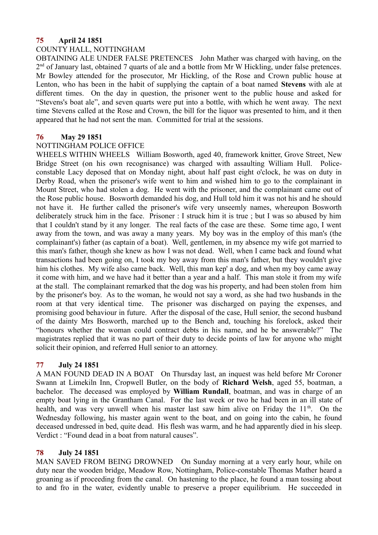### **75 April 24 1851**

## COUNTY HALL, NOTTINGHAM

OBTAINING ALE UNDER FALSE PRETENCES John Mather was charged with having, on the  $2<sup>nd</sup>$  of January last, obtained 7 quarts of ale and a bottle from Mr W Hickling, under false pretences. Mr Bowley attended for the prosecutor, Mr Hickling, of the Rose and Crown public house at Lenton, who has been in the habit of supplying the captain of a boat named **Stevens** with ale at different times. On the day in question, the prisoner went to the public house and asked for "Stevens's boat ale", and seven quarts were put into a bottle, with which he went away. The next time Stevens called at the Rose and Crown, the bill for the liquor was presented to him, and it then appeared that he had not sent the man. Committed for trial at the sessions.

### **76 May 29 1851**

#### NOTTINGHAM POLICE OFFICE

WHEELS WITHIN WHEELS William Bosworth, aged 40, framework knitter, Grove Street, New Bridge Street (on his own recognisance) was charged with assaulting William Hull. Policeconstable Lacy deposed that on Monday night, about half past eight o'clock, he was on duty in Derby Road, when the prisoner's wife went to him and wished him to go to the complainant in Mount Street, who had stolen a dog. He went with the prisoner, and the complainant came out of the Rose public house. Bosworth demanded his dog, and Hull told him it was not his and he should not have it. He further called the prisoner's wife very unseemly names, whereupon Bosworth deliberately struck him in the face. Prisoner : I struck him it is true ; but I was so abused by him that I couldn't stand by it any longer. The real facts of the case are these. Some time ago, I went away from the town, and was away a many years. My boy was in the employ of this man's (the complainant's) father (as captain of a boat). Well, gentlemen, in my absence my wife got married to this man's father, though she knew as how I was not dead. Well, when I came back and found what transactions had been going on, I took my boy away from this man's father, but they wouldn't give him his clothes. My wife also came back. Well, this man kep' a dog, and when my boy came away it come with him, and we have had it better than a year and a half. This man stole it from my wife at the stall. The complainant remarked that the dog was his property, and had been stolen from him by the prisoner's boy. As to the woman, he would not say a word, as she had two husbands in the room at that very identical time. The prisoner was discharged on paying the expenses, and promising good behaviour in future. After the disposal of the case, Hull senior, the second husband of the dainty Mrs Bosworth, marched up to the Bench and, touching his forelock, asked their "honours whether the woman could contract debts in his name, and he be answerable?" The magistrates replied that it was no part of their duty to decide points of law for anyone who might solicit their opinion, and referred Hull senior to an attorney.

### **77 July 24 1851**

A MAN FOUND DEAD IN A BOAT On Thursday last, an inquest was held before Mr Coroner Swann at Limekiln Inn, Cropwell Butler, on the body of **Richard Welsh**, aged 55, boatman, a bachelor. The deceased was employed by **William Rundall**, boatman, and was in charge of an empty boat lying in the Grantham Canal. For the last week or two he had been in an ill state of health, and was very unwell when his master last saw him alive on Friday the  $11<sup>th</sup>$ . On the Wednesday following, his master again went to the boat, and on going into the cabin, he found deceased undressed in bed, quite dead. His flesh was warm, and he had apparently died in his sleep. Verdict : "Found dead in a boat from natural causes".

### **78 July 24 1851**

MAN SAVED FROM BEING DROWNED On Sunday morning at a very early hour, while on duty near the wooden bridge, Meadow Row, Nottingham, Police-constable Thomas Mather heard a groaning as if proceeding from the canal. On hastening to the place, he found a man tossing about to and fro in the water, evidently unable to preserve a proper equilibrium. He succeeded in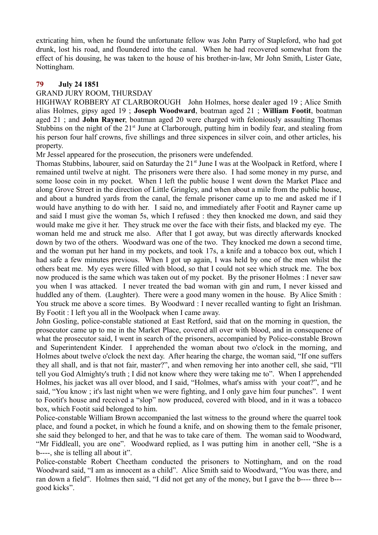extricating him, when he found the unfortunate fellow was John Parry of Stapleford, who had got drunk, lost his road, and floundered into the canal. When he had recovered somewhat from the effect of his dousing, he was taken to the house of his brother-in-law, Mr John Smith, Lister Gate, Nottingham.

### **79 July 24 1851**

### GRAND JURY ROOM, THURSDAY

HIGHWAY ROBBERY AT CLARBOROUGH John Holmes, horse dealer aged 19 ; Alice Smith alias Holmes, gipsy aged 19 ; **Joseph Woodward**, boatman aged 21 ; **William Footit**, boatman aged 21 ; and **John Rayner**, boatman aged 20 were charged with feloniously assaulting Thomas Stubbins on the night of the 21<sup>st</sup> June at Clarborough, putting him in bodily fear, and stealing from his person four half crowns, five shillings and three sixpences in silver coin, and other articles, his property.

Mr Jessel appeared for the prosecution, the prisoners were undefended.

Thomas Stubbins, labourer, said on Saturday the 21<sup>st</sup> June I was at the Woolpack in Retford, where I remained until twelve at night. The prisoners were there also. I had some money in my purse, and some loose coin in my pocket. When I left the public house I went down the Market Place and along Grove Street in the direction of Little Gringley, and when about a mile from the public house, and about a hundred yards from the canal, the female prisoner came up to me and asked me if I would have anything to do with her. I said no, and immediately after Footit and Rayner came up and said I must give the woman 5s, which I refused : they then knocked me down, and said they would make me give it her. They struck me over the face with their fists, and blacked my eye. The woman held me and struck me also. After that I got away, but was directly afterwards knocked down by two of the others. Woodward was one of the two. They knocked me down a second time, and the woman put her hand in my pockets, and took 17s, a knife and a tobacco box out, which I had safe a few minutes previous. When I got up again, I was held by one of the men whilst the others beat me. My eyes were filled with blood, so that I could not see which struck me. The box now produced is the same which was taken out of my pocket. By the prisoner Holmes : I never saw you when I was attacked. I never treated the bad woman with gin and rum, I never kissed and huddled any of them. (Laughter). There were a good many women in the house. By Alice Smith : You struck me above a score times. By Woodward : I never recalled wanting to fight an Irishman. By Footit : I left you all in the Woolpack when I came away.

John Gosling, police-constable stationed at East Retford, said that on the morning in question, the prosecutor came up to me in the Market Place, covered all over with blood, and in consequence of what the prosecutor said, I went in search of the prisoners, accompanied by Police-constable Brown and Superintendent Kinder. I apprehended the woman about two o'clock in the morning, and Holmes about twelve o'clock the next day. After hearing the charge, the woman said, "If one suffers they all shall, and is that not fair, master?", and when removing her into another cell, she said, "I'll tell you God Almighty's truth ; I did not know where they were taking me to". When I apprehended Holmes, his jacket was all over blood, and I said, "Holmes, what's amiss with your coat?", and he said, "You know ; it's last night when we were fighting, and I only gave him four punches". I went to Footit's house and received a "slop" now produced, covered with blood, and in it was a tobacco box, which Footit said belonged to him.

Police-constable William Brown accompanied the last witness to the ground where the quarrel took place, and found a pocket, in which he found a knife, and on showing them to the female prisoner, she said they belonged to her, and that he was to take care of them. The woman said to Woodward, "Mr Fiddleall, you are one". Woodward replied, as I was putting him in another cell, "She is a b----, she is telling all about it".

Police-constable Robert Cheetham conducted the prisoners to Nottingham, and on the road Woodward said, "I am as innocent as a child". Alice Smith said to Woodward, "You was there, and ran down a field". Holmes then said, "I did not get any of the money, but I gave the b---- three b-- good kicks".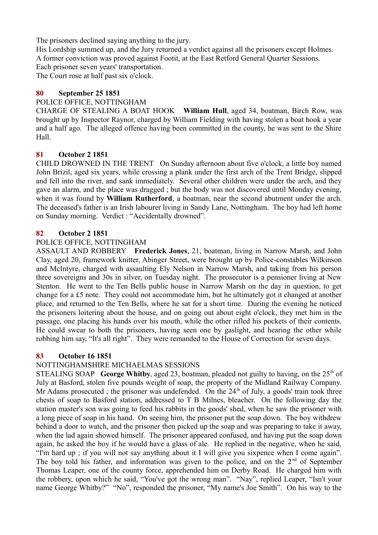The prisoners declined saying anything to the jury.

His Lordship summed up, and the Jury returned a verdict against all the prisoners except Holmes. A former conviction was proved against Footit, at the East Retford General Quarter Sessions.

Each prisoner seven years' transportation.

The Court rose at half past six o'clock.

## **80 September 25 1851**

### POLICE OFFICE, NOTTINGHAM

CHARGE OF STEALING A BOAT HOOK **William Hull**, aged 34, boatman, Birch Row, was brought up by Inspector Raynor, charged by William Fielding with having stolen a boat hook a year and a half ago. The alleged offence having been committed in the county, he was sent to the Shire Hall.

## **81 October 2 1851**

CHILD DROWNED IN THE TRENT On Sunday afternoon about five o'clock, a little boy named John Brizil, aged six years, while crossing a plank under the first arch of the Trent Bridge, slipped and fell into the river, and sank immediately. Several other children were under the arch, and they gave an alarm, and the place was dragged ; but the body was not discovered until Monday evening, when it was found by **William Rutherford**, a boatman, near the second abutment under the arch. The deceased's father is an Irish labourer living in Sandy Lane, Nottingham. The boy had left home on Sunday morning. Verdict : "Accidentally drowned".

### **82 October 2 1851**

### POLICE OFFICE, NOTTINGHAM

ASSAULT AND ROBBERY **Frederick Jones**, 21, boatman, living in Narrow Marsh, and John Clay, aged 20, framework knitter, Abinger Street, were brought up by Police-constables Wilkinson and McIntyre, charged with assaulting Ely Nelson in Narrow Marsh, and taking from his person three sovereigns and 30s in silver, on Tuesday night. The prosecutor is a pensioner living at New Stenton. He went to the Ten Bells public house in Narrow Marsh on the day in question, to get change for a £5 note. They could not accommodate him, but he ultimately got it changed at another place, and returned to the Ten Bells, where he sat for a short time. During the evening he noticed the prisoners loitering about the house, and on going out about eight o'clock, they met him in the passage, one placing his hands over his mouth, while the other rifled his pockets of their contents. He could swear to both the prisoners, having seen one by gaslight, and hearing the other while robbing him say, "It's all right". They were remanded to the House of Correction for seven days.

### **83 October 16 1851**

## NOTTINGHAMSHIRE MICHAELMAS SESSIONS

STEALING SOAP **George Whitby**, aged 23, boatman, pleaded not guilty to having, on the  $25<sup>th</sup>$  of July at Basford, stolen five pounds weight of soap, the property of the Midland Railway Company. Mr Adams prosecuted ; the prisoner was undefended. On the  $24<sup>th</sup>$  of July, a goods' train took three chests of soap to Basford station, addressed to T B Milnes, bleacher. On the following day the station master's son was going to feed his rabbits in the goods' shed, when he saw the prisoner with a long piece of soap in his hand. On seeing him, the prisoner put the soap down. The boy withdrew behind a door to watch, and the prisoner then picked up the soap and was preparing to take it away, when the lad again showed himself. The prisoner appeared confused, and having put the soap down again, he asked the boy if he would have a glass of ale. He replied in the negative, when he said, "I'm hard up ; if you will not say anything about it I will give you sixpence when I come again". The boy told his father, and information was given to the police, and on the  $2<sup>nd</sup>$  of September Thomas Leaper, one of the county force, apprehended him on Derby Road. He charged him with the robbery, upon which he said, "You've got the wrong man". "Nay", replied Leaper, "Isn't your name George Whitby?" "No", responded the prisoner, "My name's Joe Smith". On his way to the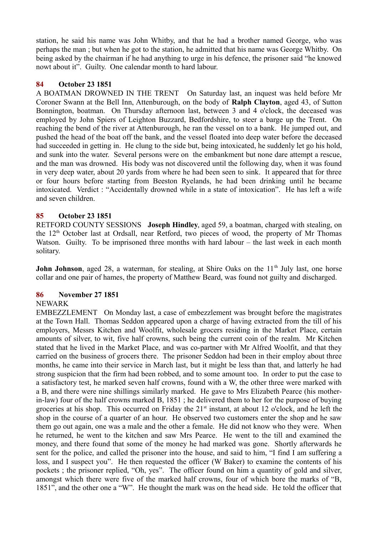station, he said his name was John Whitby, and that he had a brother named George, who was perhaps the man ; but when he got to the station, he admitted that his name was George Whitby. On being asked by the chairman if he had anything to urge in his defence, the prisoner said "he knowed nowt about it". Guilty. One calendar month to hard labour.

### **84 October 23 1851**

A BOATMAN DROWNED IN THE TRENT On Saturday last, an inquest was held before Mr Coroner Swann at the Bell Inn, Attenburough, on the body of **Ralph Clayton**, aged 43, of Sutton Bonnington, boatman. On Thursday afternoon last, between 3 and 4 o'clock, the deceased was employed by John Spiers of Leighton Buzzard, Bedfordshire, to steer a barge up the Trent. On reaching the bend of the river at Attenburough, he ran the vessel on to a bank. He jumped out, and pushed the head of the boat off the bank, and the vessel floated into deep water before the deceased had succeeded in getting in. He clung to the side but, being intoxicated, he suddenly let go his hold, and sunk into the water. Several persons were on the embankment but none dare attempt a rescue, and the man was drowned. His body was not discovered until the following day, when it was found in very deep water, about 20 yards from where he had been seen to sink. It appeared that for three or four hours before starting from Beeston Ryelands, he had been drinking until he became intoxicated. Verdict : "Accidentally drowned while in a state of intoxication". He has left a wife and seven children.

### **85 October 23 1851**

RETFORD COUNTY SESSIONS **Joseph Hindley**, aged 59, a boatman, charged with stealing, on the  $12<sup>th</sup>$  October last at Ordsall, near Retford, two pieces of wood, the property of Mr Thomas Watson. Guilty. To be imprisoned three months with hard labour – the last week in each month solitary.

**John Johnson**, aged 28, a waterman, for stealing, at Shire Oaks on the 11<sup>th</sup> July last, one horse collar and one pair of hames, the property of Matthew Beard, was found not guilty and discharged.

## **86 November 27 1851**

### NEWARK

EMBEZZLEMENT On Monday last, a case of embezzlement was brought before the magistrates at the Town Hall. Thomas Seddon appeared upon a charge of having extracted from the till of his employers, Messrs Kitchen and Woolfit, wholesale grocers residing in the Market Place, certain amounts of silver, to wit, five half crowns, such being the current coin of the realm. Mr Kitchen stated that he lived in the Market Place, and was co-partner with Mr Alfred Woolfit, and that they carried on the business of grocers there. The prisoner Seddon had been in their employ about three months, he came into their service in March last, but it might be less than that, and latterly he had strong suspicion that the firm had been robbed, and to some amount too. In order to put the case to a satisfactory test, he marked seven half crowns, found with a W, the other three were marked with a B, and there were nine shillings similarly marked. He gave to Mrs Elizabeth Pearce (his motherin-law) four of the half crowns marked B, 1851 ; he delivered them to her for the purpose of buying groceries at his shop. This occurred on Friday the 21<sup>st</sup> instant, at about 12 o'clock, and he left the shop in the course of a quarter of an hour. He observed two customers enter the shop and he saw them go out again, one was a male and the other a female. He did not know who they were. When he returned, he went to the kitchen and saw Mrs Pearce. He went to the till and examined the money, and there found that some of the money he had marked was gone. Shortly afterwards he sent for the police, and called the prisoner into the house, and said to him, "I find I am suffering a loss, and I suspect you". He then requested the officer (W Baker) to examine the contents of his pockets ; the prisoner replied, "Oh, yes". The officer found on him a quantity of gold and silver, amongst which there were five of the marked half crowns, four of which bore the marks of "B, 1851", and the other one a "W". He thought the mark was on the head side. He told the officer that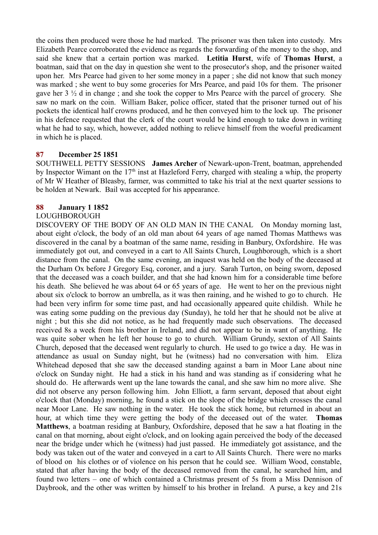the coins then produced were those he had marked. The prisoner was then taken into custody. Mrs Elizabeth Pearce corroborated the evidence as regards the forwarding of the money to the shop, and said she knew that a certain portion was marked. **Letitia Hurst**, wife of **Thomas Hurst**, a boatman, said that on the day in question she went to the prosecutor's shop, and the prisoner waited upon her. Mrs Pearce had given to her some money in a paper ; she did not know that such money was marked ; she went to buy some groceries for Mrs Pearce, and paid 10s for them. The prisoner gave her 3 ½ d in change ; and she took the copper to Mrs Pearce with the parcel of grocery. She saw no mark on the coin. William Baker, police officer, stated that the prisoner turned out of his pockets the identical half crowns produced, and he then conveyed him to the lock up. The prisoner in his defence requested that the clerk of the court would be kind enough to take down in writing what he had to say, which, however, added nothing to relieve himself from the woeful predicament in which he is placed.

### **87 December 25 1851**

SOUTHWELL PETTY SESSIONS **James Archer** of Newark-upon-Trent, boatman, apprehended by Inspector Wimant on the  $17<sup>th</sup>$  inst at Hazleford Ferry, charged with stealing a whip, the property of Mr W Heather of Bleasby, farmer, was committed to take his trial at the next quarter sessions to be holden at Newark. Bail was accepted for his appearance.

### **88 January 1 1852**

### LOUGHBOROUGH

DISCOVERY OF THE BODY OF AN OLD MAN IN THE CANAL On Monday morning last, about eight o'clock, the body of an old man about 64 years of age named Thomas Matthews was discovered in the canal by a boatman of the same name, residing in Banbury, Oxfordshire. He was immediately got out, and conveyed in a cart to All Saints Church, Loughborough, which is a short distance from the canal. On the same evening, an inquest was held on the body of the deceased at the Durham Ox before J Gregory Esq, coroner, and a jury. Sarah Turton, on being sworn, deposed that the deceased was a coach builder, and that she had known him for a considerable time before his death. She believed he was about 64 or 65 years of age. He went to her on the previous night about six o'clock to borrow an umbrella, as it was then raining, and he wished to go to church. He had been very infirm for some time past, and had occasionally appeared quite childish. While he was eating some pudding on the previous day (Sunday), he told her that he should not be alive at night ; but this she did not notice, as he had frequently made such observations. The deceased received 8s a week from his brother in Ireland, and did not appear to be in want of anything. He was quite sober when he left her house to go to church. William Grundy, sexton of All Saints Church, deposed that the deceased went regularly to church. He used to go twice a day. He was in attendance as usual on Sunday night, but he (witness) had no conversation with him. Eliza Whitehead deposed that she saw the deceased standing against a barn in Moor Lane about nine o'clock on Sunday night. He had a stick in his hand and was standing as if considering what he should do. He afterwards went up the lane towards the canal, and she saw him no more alive. She did not observe any person following him. John Elliott, a farm servant, deposed that about eight o'clock that (Monday) morning, he found a stick on the slope of the bridge which crosses the canal near Moor Lane. He saw nothing in the water. He took the stick home, but returned in about an hour, at which time they were getting the body of the deceased out of the water. **Thomas Matthews**, a boatman residing at Banbury, Oxfordshire, deposed that he saw a hat floating in the canal on that morning, about eight o'clock, and on looking again perceived the body of the deceased near the bridge under which he (witness) had just passed. He immediately got assistance, and the body was taken out of the water and conveyed in a cart to All Saints Church. There were no marks of blood on his clothes or of violence on his person that he could see. William Wood, constable, stated that after having the body of the deceased removed from the canal, he searched him, and found two letters – one of which contained a Christmas present of 5s from a Miss Dennison of Daybrook, and the other was written by himself to his brother in Ireland. A purse, a key and 21s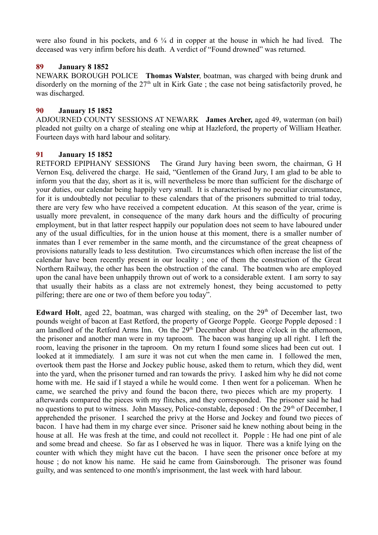were also found in his pockets, and  $6\frac{1}{4}$  d in copper at the house in which he had lived. The deceased was very infirm before his death. A verdict of "Found drowned" was returned.

### **89 January 8 1852**

NEWARK BOROUGH POLICE **Thomas Walster**, boatman, was charged with being drunk and disorderly on the morning of the  $27<sup>th</sup>$  ult in Kirk Gate; the case not being satisfactorily proved, he was discharged.

### **90 January 15 1852**

ADJOURNED COUNTY SESSIONS AT NEWARK **James Archer,** aged 49, waterman (on bail) pleaded not guilty on a charge of stealing one whip at Hazleford, the property of William Heather. Fourteen days with hard labour and solitary.

### **91 January 15 1852**

RETFORD EPIPHANY SESSIONS The Grand Jury having been sworn, the chairman, G H Vernon Esq, delivered the charge. He said, "Gentlemen of the Grand Jury, I am glad to be able to inform you that the day, short as it is, will nevertheless be more than sufficient for the discharge of your duties, our calendar being happily very small. It is characterised by no peculiar circumstance, for it is undoubtedly not peculiar to these calendars that of the prisoners submitted to trial today, there are very few who have received a competent education. At this season of the year, crime is usually more prevalent, in consequence of the many dark hours and the difficulty of procuring employment, but in that latter respect happily our population does not seem to have laboured under any of the usual difficulties, for in the union house at this moment, there is a smaller number of inmates than I ever remember in the same month, and the circumstance of the great cheapness of provisions naturally leads to less destitution. Two circumstances which often increase the list of the calendar have been recently present in our locality ; one of them the construction of the Great Northern Railway, the other has been the obstruction of the canal. The boatmen who are employed upon the canal have been unhappily thrown out of work to a considerable extent. I am sorry to say that usually their habits as a class are not extremely honest, they being accustomed to petty pilfering; there are one or two of them before you today".

Edward Holt, aged 22, boatman, was charged with stealing, on the 29<sup>th</sup> of December last, two pounds weight of bacon at East Retford, the property of George Popple. George Popple deposed : I am landlord of the Retford Arms Inn. On the 29<sup>th</sup> December about three o'clock in the afternoon, the prisoner and another man were in my taproom. The bacon was hanging up all right. I left the room, leaving the prisoner in the taproom. On my return I found some slices had been cut out. I looked at it immediately. I am sure it was not cut when the men came in. I followed the men, overtook them past the Horse and Jockey public house, asked them to return, which they did, went into the yard, when the prisoner turned and ran towards the privy. I asked him why he did not come home with me. He said if I stayed a while he would come. I then went for a policeman. When he came, we searched the privy and found the bacon there, two pieces which are my property. I afterwards compared the pieces with my flitches, and they corresponded. The prisoner said he had no questions to put to witness. John Massey, Police-constable, deposed : On the 29<sup>th</sup> of December, I apprehended the prisoner. I searched the privy at the Horse and Jockey and found two pieces of bacon. I have had them in my charge ever since. Prisoner said he knew nothing about being in the house at all. He was fresh at the time, and could not recollect it. Popple : He had one pint of ale and some bread and cheese. So far as I observed he was in liquor. There was a knife lying on the counter with which they might have cut the bacon. I have seen the prisoner once before at my house ; do not know his name. He said he came from Gainsborough. The prisoner was found guilty, and was sentenced to one month's imprisonment, the last week with hard labour.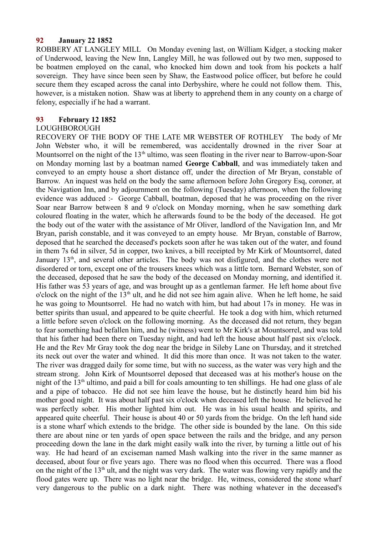#### **92 January 22 1852**

ROBBERY AT LANGLEY MILL On Monday evening last, on William Kidger, a stocking maker of Underwood, leaving the New Inn, Langley Mill, he was followed out by two men, supposed to be boatmen employed on the canal, who knocked him down and took from his pockets a half sovereign. They have since been seen by Shaw, the Eastwood police officer, but before he could secure them they escaped across the canal into Derbyshire, where he could not follow them. This, however, is a mistaken notion. Shaw was at liberty to apprehend them in any county on a charge of felony, especially if he had a warrant.

#### **93 February 12 1852**

#### LOUGHBOROUGH

RECOVERY OF THE BODY OF THE LATE MR WEBSTER OF ROTHLEY The body of Mr John Webster who, it will be remembered, was accidentally drowned in the river Soar at Mountsorrel on the night of the  $13<sup>th</sup>$  ultimo, was seen floating in the river near to Barrow-upon-Soar on Monday morning last by a boatman named **George Cabball**, and was immediately taken and conveyed to an empty house a short distance off, under the direction of Mr Bryan, constable of Barrow. An inquest was held on the body the same afternoon before John Gregory Esq, coroner, at the Navigation Inn, and by adjournment on the following (Tuesday) afternoon, when the following evidence was adduced :- George Cabball, boatman, deposed that he was proceeding on the river Soar near Barrow between 8 and 9 o'clock on Monday morning, when he saw something dark coloured floating in the water, which he afterwards found to be the body of the deceased. He got the body out of the water with the assistance of Mr Oliver, landlord of the Navigation Inn, and Mr Bryan, parish constable, and it was conveyed to an empty house. Mr Bryan, constable of Barrow, deposed that he searched the deceased's pockets soon after he was taken out of the water, and found in them 7s 6d in silver, 5d in copper, two knives, a bill receipted by Mr Kirk of Mountsorrel, dated January 13<sup>th</sup>, and several other articles. The body was not disfigured, and the clothes were not disordered or torn, except one of the trousers knees which was a little torn. Bernard Webster, son of the deceased, deposed that he saw the body of the deceased on Monday morning, and identified it. His father was 53 years of age, and was brought up as a gentleman farmer. He left home about five o'clock on the night of the  $13<sup>th</sup>$  ult, and he did not see him again alive. When he left home, he said he was going to Mountsorrel. He had no watch with him, but had about 17s in money. He was in better spirits than usual, and appeared to be quite cheerful. He took a dog with him, which returned a little before seven o'clock on the following morning. As the deceased did not return, they began to fear something had befallen him, and he (witness) went to Mr Kirk's at Mountsorrel, and was told that his father had been there on Tuesday night, and had left the house about half past six o'clock. He and the Rev Mr Gray took the dog near the bridge in Sileby Lane on Thursday, and it stretched its neck out over the water and whined. It did this more than once. It was not taken to the water. The river was dragged daily for some time, but with no success, as the water was very high and the stream strong. John Kirk of Mountsorrel deposed that deceased was at his mother's house on the night of the  $13<sup>th</sup>$  ultimo, and paid a bill for coals amounting to ten shillings. He had one glass of ale and a pipe of tobacco. He did not see him leave the house, but he distinctly heard him bid his mother good night. It was about half past six o'clock when deceased left the house. He believed he was perfectly sober. His mother lighted him out. He was in his usual health and spirits, and appeared quite cheerful. Their house is about 40 or 50 yards from the bridge. On the left hand side is a stone wharf which extends to the bridge. The other side is bounded by the lane. On this side there are about nine or ten yards of open space between the rails and the bridge, and any person proceeding down the lane in the dark might easily walk into the river, by turning a little out of his way. He had heard of an exciseman named Mash walking into the river in the same manner as deceased, about four or five years ago. There was no flood when this occurred. There was a flood on the night of the 13<sup>th</sup> ult, and the night was very dark. The water was flowing very rapidly and the flood gates were up. There was no light near the bridge. He, witness, considered the stone wharf very dangerous to the public on a dark night. There was nothing whatever in the deceased's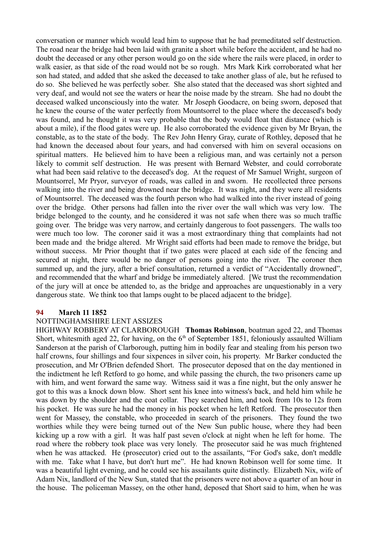conversation or manner which would lead him to suppose that he had premeditated self destruction. The road near the bridge had been laid with granite a short while before the accident, and he had no doubt the deceased or any other person would go on the side where the rails were placed, in order to walk easier, as that side of the road would not be so rough. Mrs Mark Kirk corroborated what her son had stated, and added that she asked the deceased to take another glass of ale, but he refused to do so. She believed he was perfectly sober. She also stated that the deceased was short sighted and very deaf, and would not see the waters or hear the noise made by the stream. She had no doubt the deceased walked unconsciously into the water. Mr Joseph Goodacre, on being sworn, deposed that he knew the course of the water perfectly from Mountsorrel to the place where the deceased's body was found, and he thought it was very probable that the body would float that distance (which is about a mile), if the flood gates were up. He also corroborated the evidence given by Mr Bryan, the constable, as to the state of the body. The Rev John Henry Gray, curate of Rothley, deposed that he had known the deceased about four years, and had conversed with him on several occasions on spiritual matters. He believed him to have been a religious man, and was certainly not a person likely to commit self destruction. He was present with Bernard Webster, and could corroborate what had been said relative to the deceased's dog. At the request of Mr Samuel Wright, surgeon of Mountsorrel, Mr Pryor, surveyor of roads, was called in and sworn. He recollected three persons walking into the river and being drowned near the bridge. It was night, and they were all residents of Mountsorrel. The deceased was the fourth person who had walked into the river instead of going over the bridge. Other persons had fallen into the river over the wall which was very low. The bridge belonged to the county, and he considered it was not safe when there was so much traffic going over. The bridge was very narrow, and certainly dangerous to foot passengers. The walls too were much too low. The coroner said it was a most extraordinary thing that complaints had not been made and the bridge altered. Mr Wright said efforts had been made to remove the bridge, but without success. Mr Prior thought that if two gates were placed at each side of the fencing and secured at night, there would be no danger of persons going into the river. The coroner then summed up, and the jury, after a brief consultation, returned a verdict of "Accidentally drowned", and recommended that the wharf and bridge be immediately altered. [We trust the recommendation of the jury will at once be attended to, as the bridge and approaches are unquestionably in a very dangerous state. We think too that lamps ought to be placed adjacent to the bridge].

#### **94 March 11 1852**

### NOTTINGHAMSHIRE LENT ASSIZES

HIGHWAY ROBBERY AT CLARBOROUGH **Thomas Robinson**, boatman aged 22, and Thomas Short, whitesmith aged 22, for having, on the  $6<sup>th</sup>$  of September 1851, feloniously assaulted William Sanderson at the parish of Clarborough, putting him in bodily fear and stealing from his person two half crowns, four shillings and four sixpences in silver coin, his property. Mr Barker conducted the prosecution, and Mr O'Brien defended Short. The prosecutor deposed that on the day mentioned in the indictment he left Retford to go home, and while passing the church, the two prisoners came up with him, and went forward the same way. Witness said it was a fine night, but the only answer he got to this was a knock down blow. Short sent his knee into witness's back, and held him while he was down by the shoulder and the coat collar. They searched him, and took from 10s to 12s from his pocket. He was sure he had the money in his pocket when he left Retford. The prosecutor then went for Massey, the constable, who proceeded in search of the prisoners. They found the two worthies while they were being turned out of the New Sun public house, where they had been kicking up a row with a girl. It was half past seven o'clock at night when he left for home. The road where the robbery took place was very lonely. The prosecutor said he was much frightened when he was attacked. He (prosecutor) cried out to the assailants, "For God's sake, don't meddle with me. Take what I have, but don't hurt me". He had known Robinson well for some time. It was a beautiful light evening, and he could see his assailants quite distinctly. Elizabeth Nix, wife of Adam Nix, landlord of the New Sun, stated that the prisoners were not above a quarter of an hour in the house. The policeman Massey, on the other hand, deposed that Short said to him, when he was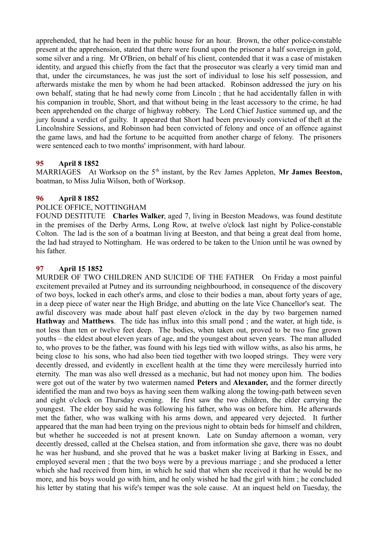apprehended, that he had been in the public house for an hour. Brown, the other police-constable present at the apprehension, stated that there were found upon the prisoner a half sovereign in gold, some silver and a ring. Mr O'Brien, on behalf of his client, contended that it was a case of mistaken identity, and argued this chiefly from the fact that the prosecutor was clearly a very timid man and that, under the circumstances, he was just the sort of individual to lose his self possession, and afterwards mistake the men by whom he had been attacked. Robinson addressed the jury on his own behalf, stating that he had newly come from Lincoln ; that he had accidentally fallen in with his companion in trouble, Short, and that without being in the least accessory to the crime, he had been apprehended on the charge of highway robbery. The Lord Chief Justice summed up, and the jury found a verdict of guilty. It appeared that Short had been previously convicted of theft at the Lincolnshire Sessions, and Robinson had been convicted of felony and once of an offence against the game laws, and had the fortune to be acquitted from another charge of felony. The prisoners were sentenced each to two months' imprisonment, with hard labour.

## **95 April 8 1852**

MARRIAGES At Worksop on the 5<sup>th</sup> instant, by the Rev James Appleton, Mr James Beeston, boatman, to Miss Julia Wilson, both of Worksop.

### **96 April 8 1852**

### POLICE OFFICE, NOTTINGHAM

FOUND DESTITUTE **Charles Walker**, aged 7, living in Beeston Meadows, was found destitute in the premises of the Derby Arms, Long Row, at twelve o'clock last night by Police-constable Colton. The lad is the son of a boatman living at Beeston, and that being a great deal from home, the lad had strayed to Nottingham. He was ordered to be taken to the Union until he was owned by his father.

### **97 April 15 1852**

MURDER OF TWO CHILDREN AND SUICIDE OF THE FATHER On Friday a most painful excitement prevailed at Putney and its surrounding neighbourhood, in consequence of the discovery of two boys, locked in each other's arms, and close to their bodies a man, about forty years of age, in a deep piece of water near the High Bridge, and abutting on the late Vice Chancellor's seat. The awful discovery was made about half past eleven o'clock in the day by two bargemen named **Hathway** and **Matthews**. The tide has influx into this small pond ; and the water, at high tide, is not less than ten or twelve feet deep. The bodies, when taken out, proved to be two fine grown youths – the eldest about eleven years of age, and the youngest about seven years. The man alluded to, who proves to be the father, was found with his legs tied with willow withs, as also his arms, he being close to his sons, who had also been tied together with two looped strings. They were very decently dressed, and evidently in excellent health at the time they were mercilessly hurried into eternity. The man was also well dressed as a mechanic, but had not money upon him. The bodies were got out of the water by two watermen named **Peters** and **Alexander,** and the former directly identified the man and two boys as having seen them walking along the towing-path between seven and eight o'clock on Thursday evening. He first saw the two children, the elder carrying the youngest. The elder boy said he was following his father, who was on before him. He afterwards met the father, who was walking with his arms down, and appeared very dejected. It further appeared that the man had been trying on the previous night to obtain beds for himself and children, but whether he succeeded is not at present known. Late on Sunday afternoon a woman, very decently dressed, called at the Chelsea station, and from information she gave, there was no doubt he was her husband, and she proved that he was a basket maker living at Barking in Essex, and employed several men ; that the two boys were by a previous marriage ; and she produced a letter which she had received from him, in which he said that when she received it that he would be no more, and his boys would go with him, and he only wished he had the girl with him ; he concluded his letter by stating that his wife's temper was the sole cause. At an inquest held on Tuesday, the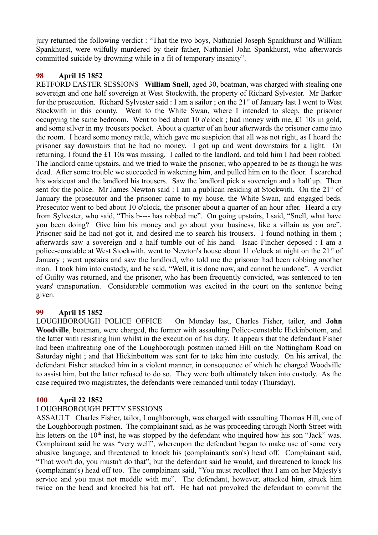jury returned the following verdict : "That the two boys, Nathaniel Joseph Spankhurst and William Spankhurst, were wilfully murdered by their father, Nathaniel John Spankhurst, who afterwards committed suicide by drowning while in a fit of temporary insanity".

## **98 April 15 1852**

RETFORD EASTER SESSIONS **William Snell**, aged 30, boatman, was charged with stealing one sovereign and one half sovereign at West Stockwith, the property of Richard Sylvester. Mr Barker for the prosecution. Richard Sylvester said : I am a sailor ; on the  $21^{st}$  of January last I went to West Stockwith in this county. Went to the White Swan, where I intended to sleep, the prisoner occupying the same bedroom. Went to bed about 10 o'clock ; had money with me, £1 10s in gold, and some silver in my trousers pocket. About a quarter of an hour afterwards the prisoner came into the room. I heard some money rattle, which gave me suspicion that all was not right, as I heard the prisoner say downstairs that he had no money. I got up and went downstairs for a light. On returning, I found the £1 10s was missing. I called to the landlord, and told him I had been robbed. The landlord came upstairs, and we tried to wake the prisoner, who appeared to be as though he was dead. After some trouble we succeeded in wakening him, and pulled him on to the floor. I searched his waistcoat and the landlord his trousers. Saw the landlord pick a sovereign and a half up. Then sent for the police. Mr James Newton said : I am a publican residing at Stockwith. On the  $21<sup>st</sup>$  of January the prosecutor and the prisoner came to my house, the White Swan, and engaged beds. Prosecutor went to bed about 10 o'clock, the prisoner about a quarter of an hour after. Heard a cry from Sylvester, who said, "This b---- has robbed me". On going upstairs, I said, "Snell, what have you been doing? Give him his money and go about your business, like a villain as you are". Prisoner said he had not got it, and desired me to search his trousers. I found nothing in them ; afterwards saw a sovereign and a half tumble out of his hand. Isaac Fincher deposed : I am a police-constable at West Stockwith, went to Newton's house about 11 o'clock at night on the 21<sup>st</sup> of January ; went upstairs and saw the landlord, who told me the prisoner had been robbing another man. I took him into custody, and he said, "Well, it is done now, and cannot be undone". A verdict of Guilty was returned, and the prisoner, who has been frequently convicted, was sentenced to ten years' transportation. Considerable commotion was excited in the court on the sentence being given.

## **99 April 15 1852**

LOUGHBOROUGH POLICE OFFICE On Monday last, Charles Fisher, tailor, and **John Woodville**, boatman, were charged, the former with assaulting Police-constable Hickinbottom, and the latter with resisting him whilst in the execution of his duty. It appears that the defendant Fisher had been maltreating one of the Loughborough postmen named Hill on the Nottingham Road on Saturday night ; and that Hickinbottom was sent for to take him into custody. On his arrival, the defendant Fisher attacked him in a violent manner, in consequence of which he charged Woodville to assist him, but the latter refused to do so. They were both ultimately taken into custody. As the case required two magistrates, the defendants were remanded until today (Thursday).

### **100 April 22 1852**

### LOUGHBOROUGH PETTY SESSIONS

ASSAULT Charles Fisher, tailor, Loughborough, was charged with assaulting Thomas Hill, one of the Loughborough postmen. The complainant said, as he was proceeding through North Street with his letters on the  $10<sup>th</sup>$  inst, he was stopped by the defendant who inquired how his son "Jack" was. Complainant said he was "very well", whereupon the defendant began to make use of some very abusive language, and threatened to knock his (complainant's son's) head off. Complainant said, "That won't do, you mustn't do that", but the defendant said he would, and threatened to knock his (complainant's) head off too. The complainant said, "You must recollect that I am on her Majesty's service and you must not meddle with me". The defendant, however, attacked him, struck him twice on the head and knocked his hat off. He had not provoked the defendant to commit the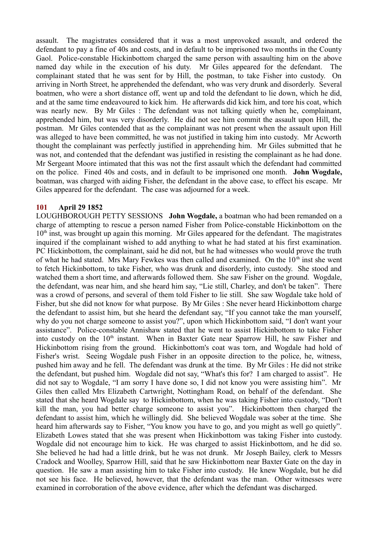assault. The magistrates considered that it was a most unprovoked assault, and ordered the defendant to pay a fine of 40s and costs, and in default to be imprisoned two months in the County Gaol. Police-constable Hickinbottom charged the same person with assaulting him on the above named day while in the execution of his duty. Mr Giles appeared for the defendant. The complainant stated that he was sent for by Hill, the postman, to take Fisher into custody. On arriving in North Street, he apprehended the defendant, who was very drunk and disorderly. Several boatmen, who were a short distance off, went up and told the defendant to lie down, which he did, and at the same time endeavoured to kick him. He afterwards did kick him, and tore his coat, which was nearly new. By Mr Giles : The defendant was not talking quietly when he, complainant, apprehended him, but was very disorderly. He did not see him commit the assault upon Hill, the postman. Mr Giles contended that as the complainant was not present when the assault upon Hill was alleged to have been committed, he was not justified in taking him into custody. Mr Acworth thought the complainant was perfectly justified in apprehending him. Mr Giles submitted that he was not, and contended that the defendant was justified in resisting the complainant as he had done. Mr Sergeant Moore intimated that this was not the first assault which the defendant had committed on the police. Fined 40s and costs, and in default to be imprisoned one month. **John Wogdale,** boatman, was charged with aiding Fisher, the defendant in the above case, to effect his escape. Mr Giles appeared for the defendant. The case was adjourned for a week.

### **101 April 29 1852**

LOUGHBOROUGH PETTY SESSIONS **John Wogdale,** a boatman who had been remanded on a charge of attempting to rescue a person named Fisher from Police-constable Hickinbottom on the  $10<sup>th</sup>$  inst, was brought up again this morning. Mr Giles appeared for the defendant. The magistrates inquired if the complainant wished to add anything to what he had stated at his first examination. PC Hickinbottom, the complainant, said he did not, but he had witnesses who would prove the truth of what he had stated. Mrs Mary Fewkes was then called and examined. On the  $10<sup>th</sup>$  inst she went to fetch Hickinbottom, to take Fisher, who was drunk and disorderly, into custody. She stood and watched them a short time, and afterwards followed them. She saw Fisher on the ground. Wogdale, the defendant, was near him, and she heard him say, "Lie still, Charley, and don't be taken". There was a crowd of persons, and several of them told Fisher to lie still. She saw Wogdale take hold of Fisher, but she did not know for what purpose. By Mr Giles : She never heard Hickinbottom charge the defendant to assist him, but she heard the defendant say, "If you cannot take the man yourself, why do you not charge someone to assist you?", upon which Hickinbottom said, "I don't want your assistance". Police-constable Annishaw stated that he went to assist Hickinbottom to take Fisher into custody on the  $10<sup>th</sup>$  instant. When in Baxter Gate near Sparrow Hill, he saw Fisher and Hickinbottom rising from the ground. Hickinbottom's coat was torn, and Wogdale had hold of Fisher's wrist. Seeing Wogdale push Fisher in an opposite direction to the police, he, witness, pushed him away and he fell. The defendant was drunk at the time. By Mr Giles : He did not strike the defendant, but pushed him. Wogdale did not say, "What's this for? I am charged to assist". He did not say to Wogdale, "I am sorry I have done so, I did not know you were assisting him". Mr Giles then called Mrs Elizabeth Cartwright, Nottingham Road, on behalf of the defendant. She stated that she heard Wogdale say to Hickinbottom, when he was taking Fisher into custody, "Don't kill the man, you had better charge someone to assist you". Hickinbottom then charged the defendant to assist him, which he willingly did. She believed Wogdale was sober at the time. She heard him afterwards say to Fisher, "You know you have to go, and you might as well go quietly". Elizabeth Lowes stated that she was present when Hickinbottom was taking Fisher into custody. Wogdale did not encourage him to kick. He was charged to assist Hickinbottom, and he did so. She believed he had had a little drink, but he was not drunk. Mr Joseph Bailey, clerk to Messrs Cradock and Woolley, Sparrow Hill, said that he saw Hickinbottom near Baxter Gate on the day in question. He saw a man assisting him to take Fisher into custody. He knew Wogdale, but he did not see his face. He believed, however, that the defendant was the man. Other witnesses were examined in corroboration of the above evidence, after which the defendant was discharged.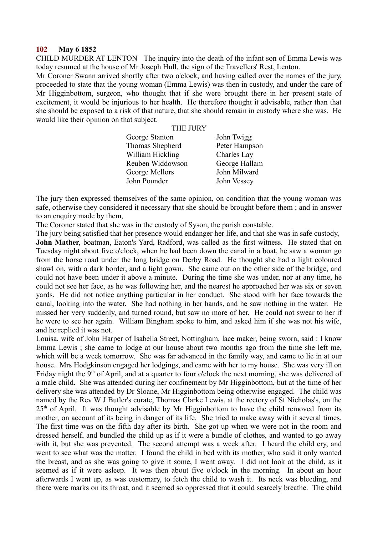#### **102 May 6 1852**

CHILD MURDER AT LENTON The inquiry into the death of the infant son of Emma Lewis was today resumed at the house of Mr Joseph Hull, the sign of the Travellers' Rest, Lenton.

Mr Coroner Swann arrived shortly after two o'clock, and having called over the names of the jury, proceeded to state that the young woman (Emma Lewis) was then in custody, and under the care of Mr Higginbottom, surgeon, who thought that if she were brought there in her present state of excitement, it would be injurious to her health. He therefore thought it advisable, rather than that she should be exposed to a risk of that nature, that she should remain in custody where she was. He would like their opinion on that subject.

#### THE JURY

| George Stanton   | John Twigg    |
|------------------|---------------|
| Thomas Shepherd  | Peter Hampson |
| William Hickling | Charles Lay   |
| Reuben Widdowson | George Hallam |
| George Mellors   | John Milward  |
| John Pounder     | John Vessey   |

The jury then expressed themselves of the same opinion, on condition that the young woman was safe, otherwise they considered it necessary that she should be brought before them ; and in answer to an enquiry made by them,

The Coroner stated that she was in the custody of Syson, the parish constable.

The jury being satisfied that her presence would endanger her life, and that she was in safe custody, **John Mather**, boatman, Eaton's Yard, Radford, was called as the first witness. He stated that on Tuesday night about five o'clock, when he had been down the canal in a boat, he saw a woman go from the horse road under the long bridge on Derby Road. He thought she had a light coloured shawl on, with a dark border, and a light gown. She came out on the other side of the bridge, and could not have been under it above a minute. During the time she was under, nor at any time, he could not see her face, as he was following her, and the nearest he approached her was six or seven yards. He did not notice anything particular in her conduct. She stood with her face towards the canal, looking into the water. She had nothing in her hands, and he saw nothing in the water. He missed her very suddenly, and turned round, but saw no more of her. He could not swear to her if he were to see her again. William Bingham spoke to him, and asked him if she was not his wife, and he replied it was not.

Louisa, wife of John Harper of Isabella Street, Nottingham, lace maker, being sworn, said : I know Emma Lewis ; she came to lodge at our house about two months ago from the time she left me, which will be a week tomorrow. She was far advanced in the family way, and came to lie in at our house. Mrs Hodgkinson engaged her lodgings, and came with her to my house. She was very ill on Friday night the  $9<sup>th</sup>$  of April, and at a quarter to four o'clock the next morning, she was delivered of a male child. She was attended during her confinement by Mr Higginbottom, but at the time of her delivery she was attended by Dr Sloane, Mr Higginbottom being otherwise engaged. The child was named by the Rev W J Butler's curate, Thomas Clarke Lewis, at the rectory of St Nicholas's, on the  $25<sup>th</sup>$  of April. It was thought advisable by Mr Higginbottom to have the child removed from its mother, on account of its being in danger of its life. She tried to make away with it several times. The first time was on the fifth day after its birth. She got up when we were not in the room and dressed herself, and bundled the child up as if it were a bundle of clothes, and wanted to go away with it, but she was prevented. The second attempt was a week after. I heard the child cry, and went to see what was the matter. I found the child in bed with its mother, who said it only wanted the breast, and as she was going to give it some, I went away. I did not look at the child, as it seemed as if it were asleep. It was then about five o'clock in the morning. In about an hour afterwards I went up, as was customary, to fetch the child to wash it. Its neck was bleeding, and there were marks on its throat, and it seemed so oppressed that it could scarcely breathe. The child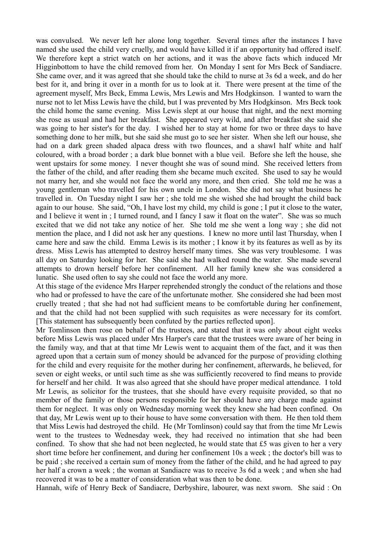was convulsed. We never left her alone long together. Several times after the instances I have named she used the child very cruelly, and would have killed it if an opportunity had offered itself. We therefore kept a strict watch on her actions, and it was the above facts which induced Mr Higginbottom to have the child removed from her. On Monday I sent for Mrs Beck of Sandiacre. She came over, and it was agreed that she should take the child to nurse at 3s 6d a week, and do her best for it, and bring it over in a month for us to look at it. There were present at the time of the agreement myself, Mrs Beck, Emma Lewis, Mrs Lewis and Mrs Hodgkinson. I wanted to warn the nurse not to let Miss Lewis have the child, but I was prevented by Mrs Hodgkinson. Mrs Beck took the child home the same evening. Miss Lewis slept at our house that night, and the next morning she rose as usual and had her breakfast. She appeared very wild, and after breakfast she said she was going to her sister's for the day. I wished her to stay at home for two or three days to have something done to her milk, but she said she must go to see her sister. When she left our house, she had on a dark green shaded alpaca dress with two flounces, and a shawl half white and half coloured, with a broad border ; a dark blue bonnet with a blue veil. Before she left the house, she went upstairs for some money. I never thought she was of sound mind. She received letters from the father of the child, and after reading them she became much excited. She used to say he would not marry her, and she would not face the world any more, and then cried. She told me he was a young gentleman who travelled for his own uncle in London. She did not say what business he travelled in. On Tuesday night I saw her ; she told me she wished she had brought the child back again to our house. She said, "Oh, I have lost my child, my child is gone ; I put it close to the water, and I believe it went in ; I turned round, and I fancy I saw it float on the water". She was so much excited that we did not take any notice of her. She told me she went a long way ; she did not mention the place, and I did not ask her any questions. I knew no more until last Thursday, when I came here and saw the child. Emma Lewis is its mother ; I know it by its features as well as by its dress. Miss Lewis has attempted to destroy herself many times. She was very troublesome. I was all day on Saturday looking for her. She said she had walked round the water. She made several attempts to drown herself before her confinement. All her family knew she was considered a lunatic. She used often to say she could not face the world any more.

At this stage of the evidence Mrs Harper reprehended strongly the conduct of the relations and those who had or professed to have the care of the unfortunate mother. She considered she had been most cruelly treated ; that she had not had sufficient means to be comfortable during her confinement, and that the child had not been supplied with such requisites as were necessary for its comfort. [This statement has subsequently been confuted by the parties reflected upon].

Mr Tomlinson then rose on behalf of the trustees, and stated that it was only about eight weeks before Miss Lewis was placed under Mrs Harper's care that the trustees were aware of her being in the family way, and that at that time Mr Lewis went to acquaint them of the fact, and it was then agreed upon that a certain sum of money should be advanced for the purpose of providing clothing for the child and every requisite for the mother during her confinement, afterwards, he believed, for seven or eight weeks, or until such time as she was sufficiently recovered to find means to provide for herself and her child. It was also agreed that she should have proper medical attendance. I told Mr Lewis, as solicitor for the trustees, that she should have every requisite provided, so that no member of the family or those persons responsible for her should have any charge made against them for neglect. It was only on Wednesday morning week they knew she had been confined. On that day, Mr Lewis went up to their house to have some conversation with them. He then told them that Miss Lewis had destroyed the child. He (Mr Tomlinson) could say that from the time Mr Lewis went to the trustees to Wednesday week, they had received no intimation that she had been confined. To show that she had not been neglected, he would state that £5 was given to her a very short time before her confinement, and during her confinement 10s a week ; the doctor's bill was to be paid ; she received a certain sum of money from the father of the child, and he had agreed to pay her half a crown a week ; the woman at Sandiacre was to receive 3s 6d a week ; and when she had recovered it was to be a matter of consideration what was then to be done.

Hannah, wife of Henry Beck of Sandiacre, Derbyshire, labourer, was next sworn. She said : On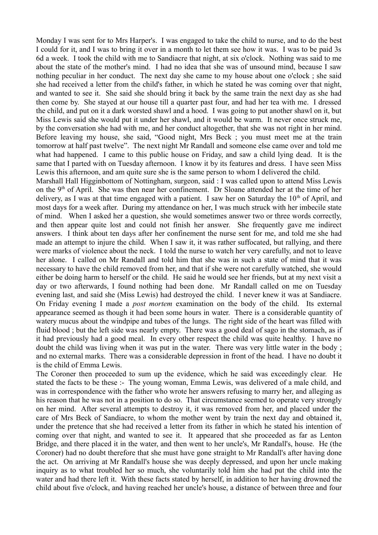Monday I was sent for to Mrs Harper's. I was engaged to take the child to nurse, and to do the best I could for it, and I was to bring it over in a month to let them see how it was. I was to be paid 3s 6d a week. I took the child with me to Sandiacre that night, at six o'clock. Nothing was said to me about the state of the mother's mind. I had no idea that she was of unsound mind, because I saw nothing peculiar in her conduct. The next day she came to my house about one o'clock ; she said she had received a letter from the child's father, in which he stated he was coming over that night, and wanted to see it. She said she should bring it back by the same train the next day as she had then come by. She stayed at our house till a quarter past four, and had her tea with me. I dressed the child, and put on it a dark worsted shawl and a hood. I was going to put another shawl on it, but Miss Lewis said she would put it under her shawl, and it would be warm. It never once struck me, by the conversation she had with me, and her conduct altogether, that she was not right in her mind. Before leaving my house, she said, "Good night, Mrs Beck ; you must meet me at the train tomorrow at half past twelve". The next night Mr Randall and someone else came over and told me what had happened. I came to this public house on Friday, and saw a child lying dead. It is the same that I parted with on Tuesday afternoon. I know it by its features and dress. I have seen Miss Lewis this afternoon, and am quite sure she is the same person to whom I delivered the child.

Marshall Hall Higginbottom of Nottingham, surgeon, said : I was called upon to attend Miss Lewis on the 9<sup>th</sup> of April. She was then near her confinement. Dr Sloane attended her at the time of her delivery, as I was at that time engaged with a patient. I saw her on Saturday the  $10<sup>th</sup>$  of April, and most days for a week after. During my attendance on her, I was much struck with her imbecile state of mind. When I asked her a question, she would sometimes answer two or three words correctly, and then appear quite lost and could not finish her answer. She frequently gave me indirect answers. I think about ten days after her confinement the nurse sent for me, and told me she had made an attempt to injure the child. When I saw it, it was rather suffocated, but rallying, and there were marks of violence about the neck. I told the nurse to watch her very carefully, and not to leave her alone. I called on Mr Randall and told him that she was in such a state of mind that it was necessary to have the child removed from her, and that if she were not carefully watched, she would either be doing harm to herself or the child. He said he would see her friends, but at my next visit a day or two afterwards, I found nothing had been done. Mr Randall called on me on Tuesday evening last, and said she (Miss Lewis) had destroyed the child. I never knew it was at Sandiacre. On Friday evening I made a *post mortem* examination on the body of the child. Its external appearance seemed as though it had been some hours in water. There is a considerable quantity of watery mucus about the windpipe and tubes of the lungs. The right side of the heart was filled with fluid blood ; but the left side was nearly empty. There was a good deal of sago in the stomach, as if it had previously had a good meal. In every other respect the child was quite healthy. I have no doubt the child was living when it was put in the water. There was very little water in the body ; and no external marks. There was a considerable depression in front of the head. I have no doubt it is the child of Emma Lewis.

The Coroner then proceeded to sum up the evidence, which he said was exceedingly clear. He stated the facts to be these :- The young woman, Emma Lewis, was delivered of a male child, and was in correspondence with the father who wrote her answers refusing to marry her, and alleging as his reason that he was not in a position to do so. That circumstance seemed to operate very strongly on her mind. After several attempts to destroy it, it was removed from her, and placed under the care of Mrs Beck of Sandiacre, to whom the mother went by train the next day and obtained it, under the pretence that she had received a letter from its father in which he stated his intention of coming over that night, and wanted to see it. It appeared that she proceeded as far as Lenton Bridge, and there placed it in the water, and then went to her uncle's, Mr Randall's, house. He (the Coroner) had no doubt therefore that she must have gone straight to Mr Randall's after having done the act. On arriving at Mr Randall's house she was deeply depressed, and upon her uncle making inquiry as to what troubled her so much, she voluntarily told him she had put the child into the water and had there left it. With these facts stated by herself, in addition to her having drowned the child about five o'clock, and having reached her uncle's house, a distance of between three and four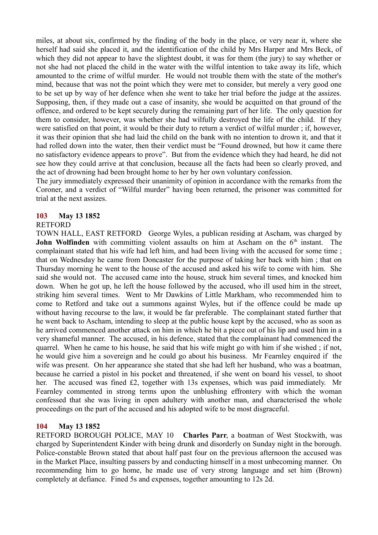miles, at about six, confirmed by the finding of the body in the place, or very near it, where she herself had said she placed it, and the identification of the child by Mrs Harper and Mrs Beck, of which they did not appear to have the slightest doubt, it was for them (the jury) to say whether or not she had not placed the child in the water with the wilful intention to take away its life, which amounted to the crime of wilful murder. He would not trouble them with the state of the mother's mind, because that was not the point which they were met to consider, but merely a very good one to be set up by way of her defence when she went to take her trial before the judge at the assizes. Supposing, then, if they made out a case of insanity, she would be acquitted on that ground of the offence, and ordered to be kept securely during the remaining part of her life. The only question for them to consider, however, was whether she had wilfully destroyed the life of the child. If they were satisfied on that point, it would be their duty to return a verdict of wilful murder ; if, however, it was their opinion that she had laid the child on the bank with no intention to drown it, and that it had rolled down into the water, then their verdict must be "Found drowned, but how it came there no satisfactory evidence appears to prove". But from the evidence which they had heard, he did not see how they could arrive at that conclusion, because all the facts had been so clearly proved, and the act of drowning had been brought home to her by her own voluntary confession.

The jury immediately expressed their unanimity of opinion in accordance with the remarks from the Coroner, and a verdict of "Wilful murder" having been returned, the prisoner was committed for trial at the next assizes.

### **103 May 13 1852**

### RETFORD

TOWN HALL, EAST RETFORD George Wyles, a publican residing at Ascham, was charged by **John Wolfinden** with committing violent assaults on him at Ascham on the 6<sup>th</sup> instant. The complainant stated that his wife had left him, and had been living with the accused for some time ; that on Wednesday he came from Doncaster for the purpose of taking her back with him ; that on Thursday morning he went to the house of the accused and asked his wife to come with him. She said she would not. The accused came into the house, struck him several times, and knocked him down. When he got up, he left the house followed by the accused, who ill used him in the street, striking him several times. Went to Mr Dawkins of Little Markham, who recommended him to come to Retford and take out a summons against Wyles, but if the offence could be made up without having recourse to the law, it would be far preferable. The complainant stated further that he went back to Ascham, intending to sleep at the public house kept by the accused, who as soon as he arrived commenced another attack on him in which he bit a piece out of his lip and used him in a very shameful manner. The accused, in his defence, stated that the complainant had commenced the quarrel. When he came to his house, he said that his wife might go with him if she wished ; if not, he would give him a sovereign and he could go about his business. Mr Fearnley enquired if the wife was present. On her appearance she stated that she had left her husband, who was a boatman, because he carried a pistol in his pocket and threatened, if she went on board his vessel, to shoot her. The accused was fined £2, together with 13s expenses, which was paid immediately. Mr Fearnley commented in strong terms upon the unblushing effrontery with which the woman confessed that she was living in open adultery with another man, and characterised the whole proceedings on the part of the accused and his adopted wife to be most disgraceful.

### **104 May 13 1852**

RETFORD BOROUGH POLICE, MAY 10 **Charles Parr**, a boatman of West Stockwith, was charged by Superintendent Kinder with being drunk and disorderly on Sunday night in the borough. Police-constable Brown stated that about half past four on the previous afternoon the accused was in the Market Place, insulting passers by and conducting himself in a most unbecoming manner. On recommending him to go home, he made use of very strong language and set him (Brown) completely at defiance. Fined 5s and expenses, together amounting to 12s 2d.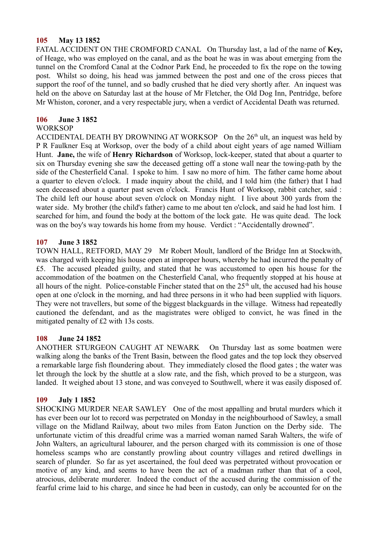### **105 May 13 1852**

FATAL ACCIDENT ON THE CROMFORD CANAL On Thursday last, a lad of the name of **Key,** of Heage, who was employed on the canal, and as the boat he was in was about emerging from the tunnel on the Cromford Canal at the Codnor Park End, he proceeded to fix the rope on the towing post. Whilst so doing, his head was jammed between the post and one of the cross pieces that support the roof of the tunnel, and so badly crushed that he died very shortly after. An inquest was held on the above on Saturday last at the house of Mr Fletcher, the Old Dog Inn, Pentridge, before Mr Whiston, coroner, and a very respectable jury, when a verdict of Accidental Death was returned.

### **106 June 3 1852**

### WORKSOP

ACCIDENTAL DEATH BY DROWNING AT WORKSOP On the  $26<sup>th</sup>$  ult, an inquest was held by P R Faulkner Esq at Worksop, over the body of a child about eight years of age named William Hunt. **Jane,** the wife of **Henry Richardson** of Worksop, lock-keeper, stated that about a quarter to six on Thursday evening she saw the deceased getting off a stone wall near the towing-path by the side of the Chesterfield Canal. I spoke to him. I saw no more of him. The father came home about a quarter to eleven o'clock. I made inquiry about the child, and I told him (the father) that I had seen deceased about a quarter past seven o'clock. Francis Hunt of Worksop, rabbit catcher, said : The child left our house about seven o'clock on Monday night. I live about 300 yards from the water side. My brother (the child's father) came to me about ten o'clock, and said he had lost him. I searched for him, and found the body at the bottom of the lock gate. He was quite dead. The lock was on the boy's way towards his home from my house. Verdict : "Accidentally drowned".

### **107 June 3 1852**

TOWN HALL, RETFORD, MAY 29 Mr Robert Moult, landlord of the Bridge Inn at Stockwith, was charged with keeping his house open at improper hours, whereby he had incurred the penalty of £5. The accused pleaded guilty, and stated that he was accustomed to open his house for the accommodation of the boatmen on the Chesterfield Canal, who frequently stopped at his house at all hours of the night. Police-constable Fincher stated that on the  $25<sup>th</sup>$  ult, the accused had his house open at one o'clock in the morning, and had three persons in it who had been supplied with liquors. They were not travellers, but some of the biggest blackguards in the village. Witness had repeatedly cautioned the defendant, and as the magistrates were obliged to convict, he was fined in the mitigated penalty of £2 with 13s costs.

### **108 June 24 1852**

ANOTHER STURGEON CAUGHT AT NEWARK On Thursday last as some boatmen were walking along the banks of the Trent Basin, between the flood gates and the top lock they observed a remarkable large fish floundering about. They immediately closed the flood gates ; the water was let through the lock by the shuttle at a slow rate, and the fish, which proved to be a sturgeon, was landed. It weighed about 13 stone, and was conveyed to Southwell, where it was easily disposed of.

### **109 July 1 1852**

SHOCKING MURDER NEAR SAWLEY One of the most appalling and brutal murders which it has ever been our lot to record was perpetrated on Monday in the neighbourhood of Sawley, a small village on the Midland Railway, about two miles from Eaton Junction on the Derby side. The unfortunate victim of this dreadful crime was a married woman named Sarah Walters, the wife of John Walters, an agricultural labourer, and the person charged with its commission is one of those homeless scamps who are constantly prowling about country villages and retired dwellings in search of plunder. So far as yet ascertained, the foul deed was perpetrated without provocation or motive of any kind, and seems to have been the act of a madman rather than that of a cool, atrocious, deliberate murderer. Indeed the conduct of the accused during the commission of the fearful crime laid to his charge, and since he had been in custody, can only be accounted for on the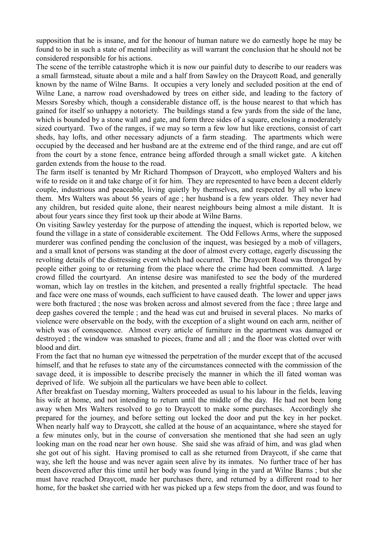supposition that he is insane, and for the honour of human nature we do earnestly hope he may be found to be in such a state of mental imbecility as will warrant the conclusion that he should not be considered responsible for his actions.

The scene of the terrible catastrophe which it is now our painful duty to describe to our readers was a small farmstead, situate about a mile and a half from Sawley on the Draycott Road, and generally known by the name of Wilne Barns. It occupies a very lonely and secluded position at the end of Wilne Lane, a narrow road overshadowed by trees on either side, and leading to the factory of Messrs Soresby which, though a considerable distance off, is the house nearest to that which has gained for itself so unhappy a notoriety. The buildings stand a few yards from the side of the lane, which is bounded by a stone wall and gate, and form three sides of a square, enclosing a moderately sized courtyard. Two of the ranges, if we may so term a few low hut like erections, consist of cart sheds, hay lofts, and other necessary adjuncts of a farm steading. The apartments which were occupied by the deceased and her husband are at the extreme end of the third range, and are cut off from the court by a stone fence, entrance being afforded through a small wicket gate. A kitchen garden extends from the house to the road.

The farm itself is tenanted by Mr Richard Thompson of Draycott, who employed Walters and his wife to reside on it and take charge of it for him. They are represented to have been a decent elderly couple, industrious and peaceable, living quietly by themselves, and respected by all who knew them. Mrs Walters was about 56 years of age ; her husband is a few years older. They never had any children, but resided quite alone, their nearest neighbours being almost a mile distant. It is about four years since they first took up their abode at Wilne Barns.

On visiting Sawley yesterday for the purpose of attending the inquest, which is reported below, we found the village in a state of considerable excitement. The Odd Fellows Arms, where the supposed murderer was confined pending the conclusion of the inquest, was besieged by a mob of villagers, and a small knot of persons was standing at the door of almost every cottage, eagerly discussing the revolting details of the distressing event which had occurred. The Draycott Road was thronged by people either going to or returning from the place where the crime had been committed. A large crowd filled the courtyard. An intense desire was manifested to see the body of the murdered woman, which lay on trestles in the kitchen, and presented a really frightful spectacle. The head and face were one mass of wounds, each sufficient to have caused death. The lower and upper jaws were both fractured ; the nose was broken across and almost severed from the face ; three large and deep gashes covered the temple ; and the head was cut and bruised in several places. No marks of violence were observable on the body, with the exception of a slight wound on each arm, neither of which was of consequence. Almost every article of furniture in the apartment was damaged or destroyed ; the window was smashed to pieces, frame and all ; and the floor was clotted over with blood and dirt.

From the fact that no human eye witnessed the perpetration of the murder except that of the accused himself, and that he refuses to state any of the circumstances connected with the commission of the savage deed, it is impossible to describe precisely the manner in which the ill fated woman was deprived of life. We subjoin all the particulars we have been able to collect.

After breakfast on Tuesday morning, Walters proceeded as usual to his labour in the fields, leaving his wife at home, and not intending to return until the middle of the day. He had not been long away when Mrs Walters resolved to go to Draycott to make some purchases. Accordingly she prepared for the journey, and before setting out locked the door and put the key in her pocket. When nearly half way to Draycott, she called at the house of an acquaintance, where she stayed for a few minutes only, but in the course of conversation she mentioned that she had seen an ugly looking man on the road near her own house. She said she was afraid of him, and was glad when she got out of his sight. Having promised to call as she returned from Draycott, if she came that way, she left the house and was never again seen alive by its inmates. No further trace of her has been discovered after this time until her body was found lying in the yard at Wilne Barns ; but she must have reached Draycott, made her purchases there, and returned by a different road to her home, for the basket she carried with her was picked up a few steps from the door, and was found to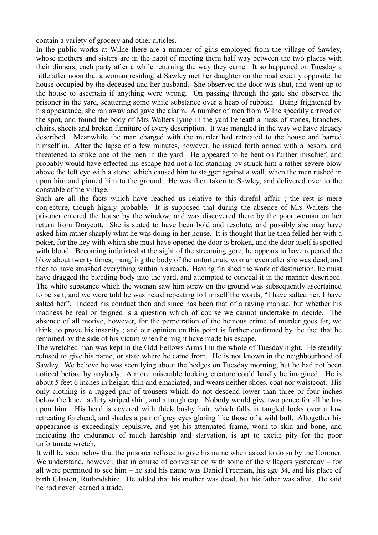contain a variety of grocery and other articles.

In the public works at Wilne there are a number of girls employed from the village of Sawley, whose mothers and sisters are in the habit of meeting them half way between the two places with their dinners, each party after a while returning the way they came. It so happened on Tuesday a little after noon that a woman residing at Sawley met her daughter on the road exactly opposite the house occupied by the deceased and her husband. She observed the door was shut, and went up to the house to ascertain if anything were wrong. On passing through the gate she observed the prisoner in the yard, scattering some white substance over a heap of rubbish. Being frightened by his appearance, she ran away and gave the alarm. A number of men from Wilne speedily arrived on the spot, and found the body of Mrs Walters lying in the yard beneath a mass of stones, branches, chairs, sheets and broken furniture of every description. It was mangled in the way we have already described. Meanwhile the man charged with the murder had retreated to the house and barred himself in. After the lapse of a few minutes, however, he issued forth armed with a besom, and threatened to strike one of the men in the yard. He appeared to be bent on further mischief, and probably would have effected his escape had not a lad standing by struck him a rather severe blow above the left eye with a stone, which caused him to stagger against a wall, when the men rushed in upon him and pinned him to the ground. He was then taken to Sawley, and delivered over to the constable of the village.

Such are all the facts which have reached us relative to this direful affair ; the rest is mere conjecture, though highly probable. It is supposed that during the absence of Mrs Walters the prisoner entered the house by the window, and was discovered there by the poor woman on her return from Draycott. She is stated to have been bold and resolute, and possibly she may have asked him rather sharply what he was doing in her house. It is thought that he then felled her with a poker, for the key with which she must have opened the door is broken, and the door itself is spotted with blood. Becoming infuriated at the sight of the streaming gore, he appears to have repeated the blow about twenty times, mangling the body of the unfortunate woman even after she was dead, and then to have smashed everything within his reach. Having finished the work of destruction, he must have dragged the bleeding body into the yard, and attempted to conceal it in the manner described. The white substance which the woman saw him strew on the ground was subsequently ascertained to be salt, and we were told he was heard repeating to himself the words, "I have salted her, I have salted her". Indeed his conduct then and since has been that of a raving maniac, but whether his madness be real or feigned is a question which of course we cannot undertake to decide. The absence of all motive, however, for the perpetration of the heinous crime of murder goes far, we think, to prove his insanity ; and our opinion on this point is further confirmed by the fact that he remained by the side of his victim when he might have made his escape.

The wretched man was kept in the Odd Fellows Arms Inn the whole of Tuesday night. He steadily refused to give his name, or state where he came from. He is not known in the neighbourhood of Sawley. We believe he was seen lying about the hedges on Tuesday morning, but he had not been noticed before by anybody. A more miserable looking creature could hardly be imagined. He is about 5 feet 6 inches in height, thin and emaciated, and wears neither shoes, coat nor waistcoat. His only clothing is a ragged pair of trousers which do not descend lower than three or four inches below the knee, a dirty striped shirt, and a rough cap. Nobody would give two pence for all he has upon him. His head is covered with thick bushy hair, which falls in tangled locks over a low retreating forehead, and shades a pair of grey eyes glaring like those of a wild bull. Altogether his appearance is exceedingly repulsive, and yet his attenuated frame, worn to skin and bone, and indicating the endurance of much hardship and starvation, is apt to excite pity for the poor unfortunate wretch.

It will be seen below that the prisoner refused to give his name when asked to do so by the Coroner. We understand, however, that in course of conversation with some of the villagers yesterday – for all were permitted to see him – he said his name was Daniel Freeman, his age 34, and his place of birth Glaston, Rutlandshire. He added that his mother was dead, but his father was alive. He said he had never learned a trade.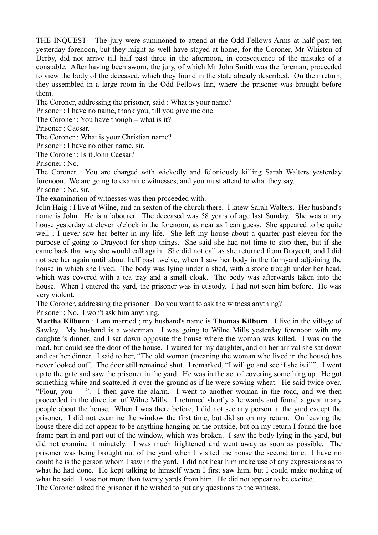THE INQUEST The jury were summoned to attend at the Odd Fellows Arms at half past ten yesterday forenoon, but they might as well have stayed at home, for the Coroner, Mr Whiston of Derby, did not arrive till half past three in the afternoon, in consequence of the mistake of a constable. After having been sworn, the jury, of which Mr John Smith was the foreman, proceeded to view the body of the deceased, which they found in the state already described. On their return, they assembled in a large room in the Odd Fellows Inn, where the prisoner was brought before them.

The Coroner, addressing the prisoner, said : What is your name?

Prisoner : I have no name, thank you, till you give me one.

The Coroner : You have though – what is it?

Prisoner : Caesar.

The Coroner : What is your Christian name?

Prisoner : I have no other name, sir.

The Coroner : Is it John Caesar?

Prisoner : No.

The Coroner : You are charged with wickedly and feloniously killing Sarah Walters yesterday forenoon. We are going to examine witnesses, and you must attend to what they say.

Prisoner : No, sir.

The examination of witnesses was then proceeded with.

John Haig : I live at Wilne, and an sexton of the church there. I knew Sarah Walters. Her husband's name is John. He is a labourer. The deceased was 58 years of age last Sunday. She was at my house yesterday at eleven o'clock in the forenoon, as near as I can guess. She appeared to be quite well ; I never saw her better in my life. She left my house about a quarter past eleven for the purpose of going to Draycott for shop things. She said she had not time to stop then, but if she came back that way she would call again. She did not call as she returned from Draycott, and I did not see her again until about half past twelve, when I saw her body in the farmyard adjoining the house in which she lived. The body was lying under a shed, with a stone trough under her head, which was covered with a tea tray and a small cloak. The body was afterwards taken into the house. When I entered the yard, the prisoner was in custody. I had not seen him before. He was very violent.

The Coroner, addressing the prisoner : Do you want to ask the witness anything?

Prisoner : No. I won't ask him anything.

**Martha Kilburn** : I am married ; my husband's name is **Thomas Kilburn**. I live in the village of Sawley. My husband is a waterman. I was going to Wilne Mills yesterday forenoon with my daughter's dinner, and I sat down opposite the house where the woman was killed. I was on the road, but could see the door of the house. I waited for my daughter, and on her arrival she sat down and eat her dinner. I said to her, "The old woman (meaning the woman who lived in the house) has never looked out". The door still remained shut. I remarked, "I will go and see if she is ill". I went up to the gate and saw the prisoner in the yard. He was in the act of covering something up. He got something white and scattered it over the ground as if he were sowing wheat. He said twice over, "Flour, you ----". I then gave the alarm. I went to another woman in the road, and we then proceeded in the direction of Wilne Mills. I returned shortly afterwards and found a great many people about the house. When I was there before, I did not see any person in the yard except the prisoner. I did not examine the window the first time, but did so on my return. On leaving the house there did not appear to be anything hanging on the outside, but on my return I found the lace frame part in and part out of the window, which was broken. I saw the body lying in the yard, but did not examine it minutely. I was much frightened and went away as soon as possible. The prisoner was being brought out of the yard when I visited the house the second time. I have no doubt he is the person whom I saw in the yard. I did not hear him make use of any expressions as to what he had done. He kept talking to himself when I first saw him, but I could make nothing of what he said. I was not more than twenty yards from him. He did not appear to be excited. The Coroner asked the prisoner if he wished to put any questions to the witness.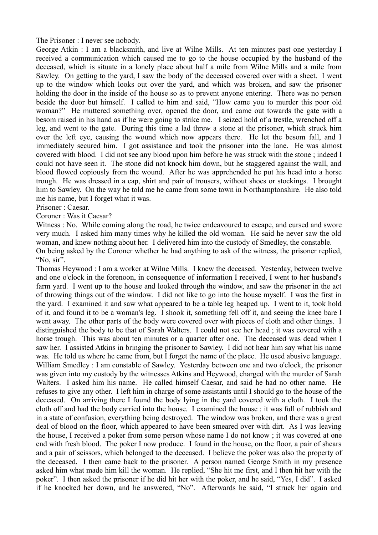The Prisoner : I never see nobody.

George Atkin : I am a blacksmith, and live at Wilne Mills. At ten minutes past one yesterday I received a communication which caused me to go to the house occupied by the husband of the deceased, which is situate in a lonely place about half a mile from Wilne Mills and a mile from Sawley. On getting to the yard, I saw the body of the deceased covered over with a sheet. I went up to the window which looks out over the yard, and which was broken, and saw the prisoner holding the door in the inside of the house so as to prevent anyone entering. There was no person beside the door but himself. I called to him and said, "How came you to murder this poor old woman?" He muttered something over, opened the door, and came out towards the gate with a besom raised in his hand as if he were going to strike me. I seized hold of a trestle, wrenched off a leg, and went to the gate. During this time a lad threw a stone at the prisoner, which struck him over the left eye, causing the wound which now appears there. He let the besom fall, and I immediately secured him. I got assistance and took the prisoner into the lane. He was almost covered with blood. I did not see any blood upon him before he was struck with the stone ; indeed I could not have seen it. The stone did not knock him down, but he staggered against the wall, and blood flowed copiously from the wound. After he was apprehended he put his head into a horse trough. He was dressed in a cap, shirt and pair of trousers, without shoes or stockings. I brought him to Sawley. On the way he told me he came from some town in Northamptonshire. He also told me his name, but I forget what it was.

Prisoner : Caesar.

Coroner : Was it Caesar?

Witness : No. While coming along the road, he twice endeavoured to escape, and cursed and swore very much. I asked him many times why he killed the old woman. He said he never saw the old woman, and knew nothing about her. I delivered him into the custody of Smedley, the constable.

On being asked by the Coroner whether he had anything to ask of the witness, the prisoner replied, "No, sir".

Thomas Heywood : I am a worker at Wilne Mills. I knew the deceased. Yesterday, between twelve and one o'clock in the forenoon, in consequence of information I received, I went to her husband's farm yard. I went up to the house and looked through the window, and saw the prisoner in the act of throwing things out of the window. I did not like to go into the house myself. I was the first in the yard. I examined it and saw what appeared to be a table leg heaped up. I went to it, took hold of it, and found it to be a woman's leg. I shook it, something fell off it, and seeing the knee bare I went away. The other parts of the body were covered over with pieces of cloth and other things. I distinguished the body to be that of Sarah Walters. I could not see her head ; it was covered with a horse trough. This was about ten minutes or a quarter after one. The deceased was dead when I saw her. I assisted Atkins in bringing the prisoner to Sawley. I did not hear him say what his name was. He told us where he came from, but I forget the name of the place. He used abusive language. William Smedley : I am constable of Sawley. Yesterday between one and two o'clock, the prisoner was given into my custody by the witnesses Atkins and Heywood, charged with the murder of Sarah Walters. I asked him his name. He called himself Caesar, and said he had no other name. He refuses to give any other. I left him in charge of some assistants until I should go to the house of the deceased. On arriving there I found the body lying in the yard covered with a cloth. I took the cloth off and had the body carried into the house. I examined the house : it was full of rubbish and in a state of confusion, everything being destroyed. The window was broken, and there was a great deal of blood on the floor, which appeared to have been smeared over with dirt. As I was leaving the house, I received a poker from some person whose name I do not know ; it was covered at one end with fresh blood. The poker I now produce. I found in the house, on the floor, a pair of shears and a pair of scissors, which belonged to the deceased. I believe the poker was also the property of the deceased. I then came back to the prisoner. A person named George Smith in my presence asked him what made him kill the woman. He replied, "She hit me first, and I then hit her with the poker". I then asked the prisoner if he did hit her with the poker, and he said, "Yes, I did". I asked if he knocked her down, and he answered, "No". Afterwards he said, "I struck her again and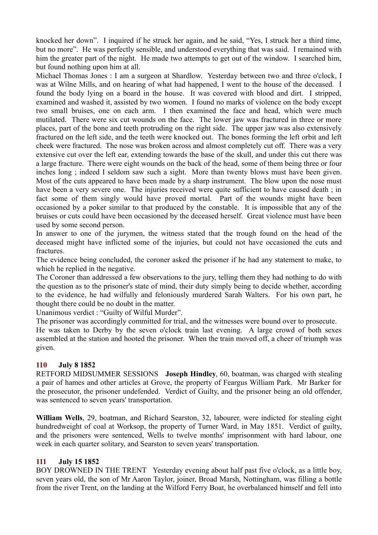knocked her down". I inquired if he struck her again, and he said, "Yes, I struck her a third time, but no more". He was perfectly sensible, and understood everything that was said. I remained with him the greater part of the night. He made two attempts to get out of the window. I searched him, but found nothing upon him at all.

Michael Thomas Jones : I am a surgeon at Shardlow. Yesterday between two and three o'clock, I was at Wilne Mills, and on hearing of what had happened, I went to the house of the deceased. I found the body lying on a board in the house. It was covered with blood and dirt. I stripped, examined and washed it, assisted by two women. I found no marks of violence on the body except two small bruises, one on each arm. I then examined the face and head, which were much mutilated. There were six cut wounds on the face. The lower jaw was fractured in three or more places, part of the bone and teeth protruding on the right side. The upper jaw was also extensively fractured on the left side, and the teeth were knocked out. The bones forming the left orbit and left cheek were fractured. The nose was broken across and almost completely cut off. There was a very extensive cut over the left ear, extending towards the base of the skull, and under this cut there was a large fracture. There were eight wounds on the back of the head, some of them being three or four inches long ; indeed I seldom saw such a sight. More than twenty blows must have been given. Most of the cuts appeared to have been made by a sharp instrument. The blow upon the nose must have been a very severe one. The injuries received were quite sufficient to have caused death ; in fact some of them singly would have proved mortal. Part of the wounds might have been occasioned by a poker similar to that produced by the constable. It is impossible that any of the bruises or cuts could have been occasioned by the deceased herself. Great violence must have been used by some second person.

In answer to one of the jurymen, the witness stated that the trough found on the head of the deceased might have inflicted some of the injuries, but could not have occasioned the cuts and fractures.

The evidence being concluded, the coroner asked the prisoner if he had any statement to make, to which he replied in the negative.

The Coroner than addressed a few observations to the jury, telling them they had nothing to do with the question as to the prisoner's state of mind, their duty simply being to decide whether, according to the evidence, he had wilfully and feloniously murdered Sarah Walters. For his own part, he thought there could be no doubt in the matter.

Unanimous verdict : "Guilty of Wilful Murder".

The prisoner was accordingly committed for trial, and the witnesses were bound over to prosecute. He was taken to Derby by the seven o'clock train last evening. A large crowd of both sexes assembled at the station and hooted the prisoner. When the train moved off, a cheer of triumph was given.

## **110 July 8 1852**

RETFORD MIDSUMMER SESSIONS **Joseph Hindley**, 60, boatman, was charged with stealing a pair of hames and other articles at Grove, the property of Feargus William Park. Mr Barker for the prosecutor, the prisoner undefended. Verdict of Guilty, and the prisoner being an old offender, was sentenced to seven years' transportation.

**William Wells**, 29, boatman, and Richard Searston, 32, labourer, were indicted for stealing eight hundredweight of coal at Worksop, the property of Turner Ward, in May 1851. Verdict of guilty, and the prisoners were sentenced, Wells to twelve months' imprisonment with hard labour, one week in each quarter solitary, and Searston to seven years' transportation.

### **111 July 15 1852**

BOY DROWNED IN THE TRENT Yesterday evening about half past five o'clock, as a little boy, seven years old, the son of Mr Aaron Taylor, joiner, Broad Marsh, Nottingham, was filling a bottle from the river Trent, on the landing at the Wilford Ferry Boat, he overbalanced himself and fell into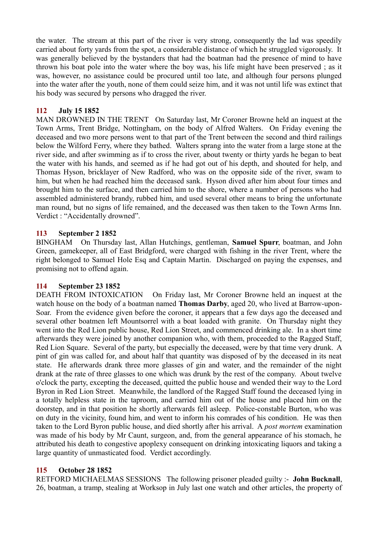the water. The stream at this part of the river is very strong, consequently the lad was speedily carried about forty yards from the spot, a considerable distance of which he struggled vigorously. It was generally believed by the bystanders that had the boatman had the presence of mind to have thrown his boat pole into the water where the boy was, his life might have been preserved ; as it was, however, no assistance could be procured until too late, and although four persons plunged into the water after the youth, none of them could seize him, and it was not until life was extinct that his body was secured by persons who dragged the river.

### **112 July 15 1852**

MAN DROWNED IN THE TRENT On Saturday last, Mr Coroner Browne held an inquest at the Town Arms, Trent Bridge, Nottingham, on the body of Alfred Walters. On Friday evening the deceased and two more persons went to that part of the Trent between the second and third railings below the Wilford Ferry, where they bathed. Walters sprang into the water from a large stone at the river side, and after swimming as if to cross the river, about twenty or thirty yards he began to beat the water with his hands, and seemed as if he had got out of his depth, and shouted for help, and Thomas Hyson, bricklayer of New Radford, who was on the opposite side of the river, swam to him, but when he had reached him the deceased sank. Hyson dived after him about four times and brought him to the surface, and then carried him to the shore, where a number of persons who had assembled administered brandy, rubbed him, and used several other means to bring the unfortunate man round, but no signs of life remained, and the deceased was then taken to the Town Arms Inn. Verdict : "Accidentally drowned".

### **113 September 2 1852**

BINGHAM On Thursday last, Allan Hutchings, gentleman, **Samuel Spurr**, boatman, and John Green, gamekeeper, all of East Bridgford, were charged with fishing in the river Trent, where the right belonged to Samuel Hole Esq and Captain Martin. Discharged on paying the expenses, and promising not to offend again.

## **114 September 23 1852**

DEATH FROM INTOXICATION On Friday last, Mr Coroner Browne held an inquest at the watch house on the body of a boatman named **Thomas Darby**, aged 20, who lived at Barrow-upon-Soar. From the evidence given before the coroner, it appears that a few days ago the deceased and several other boatmen left Mountsorrel with a boat loaded with granite. On Thursday night they went into the Red Lion public house, Red Lion Street, and commenced drinking ale. In a short time afterwards they were joined by another companion who, with them, proceeded to the Ragged Staff, Red Lion Square. Several of the party, but especially the deceased, were by that time very drunk. A pint of gin was called for, and about half that quantity was disposed of by the deceased in its neat state. He afterwards drank three more glasses of gin and water, and the remainder of the night drank at the rate of three glasses to one which was drunk by the rest of the company. About twelve o'clock the party, excepting the deceased, quitted the public house and wended their way to the Lord Byron in Red Lion Street. Meanwhile, the landlord of the Ragged Staff found the deceased lying in a totally helpless state in the taproom, and carried him out of the house and placed him on the doorstep, and in that position he shortly afterwards fell asleep. Police-constable Burton, who was on duty in the vicinity, found him, and went to inform his comrades of his condition. He was then taken to the Lord Byron public house, and died shortly after his arrival. A *post mortem* examination was made of his body by Mr Caunt, surgeon, and, from the general appearance of his stomach, he attributed his death to congestive apoplexy consequent on drinking intoxicating liquors and taking a large quantity of unmasticated food. Verdict accordingly.

## **115 October 28 1852**

RETFORD MICHAELMAS SESSIONS The following prisoner pleaded guilty :- **John Bucknall**, 26, boatman, a tramp, stealing at Worksop in July last one watch and other articles, the property of